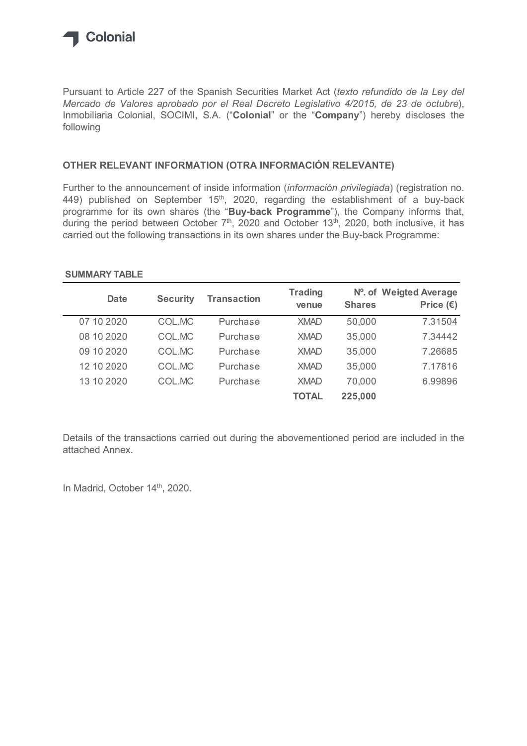

## OTHER RELEVANT INFORMATION (OTRA INFORMACIÓN RELEVANTE)

## SUMMARY TABLE

| following                                                                                                      |                 |                    |                         |               |                                                                                                                                                                                                                                                                                                              |
|----------------------------------------------------------------------------------------------------------------|-----------------|--------------------|-------------------------|---------------|--------------------------------------------------------------------------------------------------------------------------------------------------------------------------------------------------------------------------------------------------------------------------------------------------------------|
| OTHER RELEVANT INFORMATION (OTRA INFORMACIÓN RELEVANTE)                                                        |                 |                    |                         |               |                                                                                                                                                                                                                                                                                                              |
|                                                                                                                |                 |                    |                         |               | 449) published on September 15 <sup>th</sup> , 2020, regarding the establishment of a buy-back<br>programme for its own shares (the "Buy-back Programme"), the Company informs that,<br>during the period between October 7 <sup>th</sup> , 2020 and October 13 <sup>th</sup> , 2020, both inclusive, it has |
| carried out the following transactions in its own shares under the Buy-back Programme:<br><b>SUMMARY TABLE</b> |                 |                    |                         |               |                                                                                                                                                                                                                                                                                                              |
| <b>Date</b>                                                                                                    | <b>Security</b> | <b>Transaction</b> | <b>Trading</b><br>venue | <b>Shares</b> | Nº. of Weigted Average<br>Price $(E)$                                                                                                                                                                                                                                                                        |
| 07 10 2020                                                                                                     | COL.MC          | Purchase           | <b>XMAD</b>             | 50,000        | 7.31504                                                                                                                                                                                                                                                                                                      |
| 08 10 2020                                                                                                     | COL.MC          | Purchase           | <b>XMAD</b>             | 35,000        | 7.34442                                                                                                                                                                                                                                                                                                      |
| 09 10 2020                                                                                                     | COL.MC          | Purchase           | <b>XMAD</b>             | 35,000        | 7.26685                                                                                                                                                                                                                                                                                                      |
| 12 10 2020                                                                                                     | COL.MC          | Purchase           | <b>XMAD</b>             | 35,000        | 7.17816                                                                                                                                                                                                                                                                                                      |
| 13 10 2020                                                                                                     | COL.MC          | Purchase           | <b>XMAD</b>             | 70,000        | 6.99896                                                                                                                                                                                                                                                                                                      |

Details of the transactions carried out during the abovementioned period are included in the attached Annex.

In Madrid, October 14<sup>th</sup>, 2020.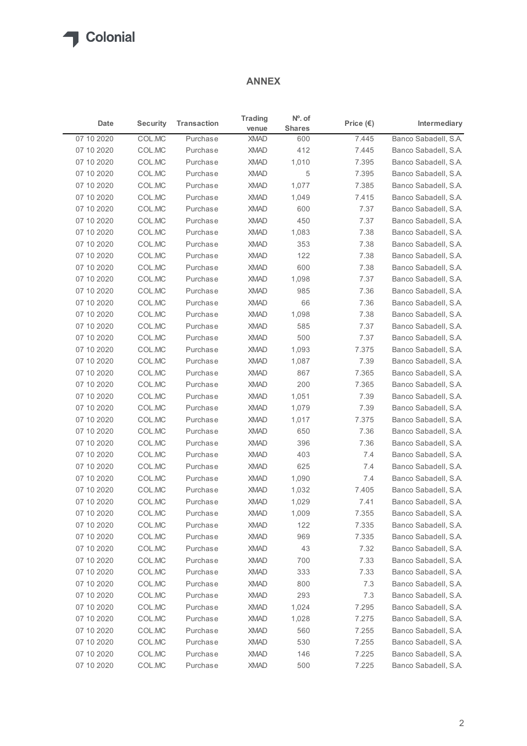## ANNEX

|                          |                  |                      | <b>ANNEX</b>               |                            |                    |                                              |  |  |  |
|--------------------------|------------------|----------------------|----------------------------|----------------------------|--------------------|----------------------------------------------|--|--|--|
| Date                     | <b>Security</b>  | <b>Transaction</b>   | <b>Trading</b><br>venue    | $No$ . of<br><b>Shares</b> | Price $(\epsilon)$ | Intermediary                                 |  |  |  |
| 07 10 2020               | COL.MC           | Purchase             | <b>XMAD</b>                | 600                        | 7.445              | Banco Sabadell, S.A.                         |  |  |  |
| 07 10 2020               | COL.MC           | Purchase             | <b>XMAD</b>                | 412                        | 7.445              | Banco Sabadell, S.A.                         |  |  |  |
| 07 10 2020               | COL.MC           | Purchase             | <b>XMAD</b>                | 1,010                      | 7.395              | Banco Sabadell, S.A.                         |  |  |  |
| 07 10 2020               | COL.MC           | Purchase             | <b>XMAD</b>                | 5                          | 7.395              | Banco Sabadell, S.A.                         |  |  |  |
| 07 10 2020<br>07 10 2020 | COL.MC<br>COL.MC | Purchase<br>Purchase | <b>XMAD</b><br><b>XMAD</b> | 1,077<br>1,049             | 7.385<br>7.415     | Banco Sabadell, S.A.<br>Banco Sabadell, S.A. |  |  |  |
| 07 10 2020               | COL.MC           | Purchase             | <b>XMAD</b>                | 600                        | 7.37               | Banco Sabadell, S.A.                         |  |  |  |
| 07 10 2020               | COL.MC           | Purchase             | <b>XMAD</b>                | 450                        | 7.37               | Banco Sabadell, S.A.                         |  |  |  |
| 07 10 2020               | COL.MC           | Purchase             | XMAD                       | 1,083                      | 7.38               | Banco Sabadell, S.A.                         |  |  |  |
| 07 10 2020               | COL.MC           | Purchase             | <b>XMAD</b>                | 353                        | 7.38               | Banco Sabadell, S.A.                         |  |  |  |
| 07 10 2020               | COL.MC           | Purchase             | <b>XMAD</b>                | 122                        | 7.38               | Banco Sabadell, S.A.                         |  |  |  |
| 07 10 2020               | COL.MC           | Purchase             | <b>XMAD</b>                | 600                        | 7.38               | Banco Sabadell, S.A.                         |  |  |  |
| 07 10 2020               | COL.MC           | Purchase             | <b>XMAD</b>                | 1,098                      | 7.37               | Banco Sabadell, S.A.                         |  |  |  |
| 07 10 2020               | COLMC            | Purchase             | <b>XMAD</b>                | 985                        | 7.36               | Banco Sabadell, S.A.                         |  |  |  |
| 07 10 2020               | COL.MC<br>COL.MC | Purchase             | XMAD                       | 66                         | 7.36               | Banco Sabadell, S.A.                         |  |  |  |
| 07 10 2020<br>07 10 2020 | COL.MC           | Purchase<br>Purchase | <b>XMAD</b><br><b>XMAD</b> | 1,098<br>585               | 7.38<br>7.37       | Banco Sabadell, S.A.<br>Banco Sabadell, S.A. |  |  |  |
| 07 10 2020               | COL.MC           | Purchase             | <b>XMAD</b>                | 500                        | 7.37               | Banco Sabadell, S.A.                         |  |  |  |
| 07 10 2020               | COL.MC           | Purchase             | <b>XMAD</b>                | 1,093                      | 7.375              | Banco Sabadell, S.A.                         |  |  |  |
| 07 10 2020               | COL.MC           | Purchase             | <b>XMAD</b>                | 1,087                      | 7.39               | Banco Sabadell, S.A.                         |  |  |  |
| 07 10 2020               | COL.MC           | Purchase             | <b>XMAD</b>                | 867                        | 7.365              | Banco Sabadell, S.A.                         |  |  |  |
| 07 10 2020               | COL.MC           | Purchase             | <b>XMAD</b>                | 200                        | 7.365              | Banco Sabadell, S.A.                         |  |  |  |
| 07 10 2020               | COL.MC           | Purchase             | <b>XMAD</b>                | 1,051                      | 7.39               | Banco Sabadell, S.A.                         |  |  |  |
| 07 10 2020               | COL.MC           | Purchase             | <b>XMAD</b>                | 1,079                      | 7.39               | Banco Sabadell, S.A.                         |  |  |  |
| 07 10 2020               | COL.MC           | Purchase             | <b>XMAD</b>                | 1,017                      | 7.375              | Banco Sabadell, S.A.                         |  |  |  |
| 07 10 2020               | COL.MC           | Purchase             | <b>XMAD</b>                | 650                        | 7.36               | Banco Sabadell, S.A.                         |  |  |  |
| 07 10 2020               | COL.MC           | Purchase             | <b>XMAD</b>                | 396                        | 7.36               | Banco Sabadell, S.A.                         |  |  |  |
| 07 10 2020<br>07 10 2020 | COL.MC<br>COL.MC | Purchase<br>Purchase | <b>XMAD</b><br><b>XMAD</b> | 403<br>625                 | 7.4<br>7.4         | Banco Sabadell, S.A.<br>Banco Sabadell, S.A. |  |  |  |
| 07 10 2020               | COL.MC           | Purchase             | <b>XMAD</b>                | 1,090                      | 7.4                | Banco Sabadell, S.A.                         |  |  |  |
| 07 10 2020               | COL.MC           | Purchase             | <b>XMAD</b>                | 1,032                      | 7.405              | Banco Sabadell, S.A.                         |  |  |  |
| 07 10 2020               | COL.MC           | Purchase             | <b>XMAD</b>                | 1,029                      | 7.41               | Banco Sabadell, S.A.                         |  |  |  |
| 07 10 2020               | COL.MC           | Purchase             | <b>XMAD</b>                | 1,009                      | 7.355              | Banco Sabadell, S.A.                         |  |  |  |
| 07 10 2020               | COL.MC           | Purchase             | <b>XMAD</b>                | 122                        | 7.335              | Banco Sabadell, S.A.                         |  |  |  |
| 07 10 2020               | COL.MC           | Purchase             | <b>XMAD</b>                | 969                        | 7.335              | Banco Sabadell, S.A.                         |  |  |  |
| 07 10 2020               | COL.MC           | Purchase             | <b>XMAD</b>                | 43                         | 7.32               | Banco Sabadell, S.A.                         |  |  |  |
| 07 10 2020               | COL.MC           | Purchase             | <b>XMAD</b>                | 700                        | 7.33               | Banco Sabadell, S.A.                         |  |  |  |
| 07 10 2020               | COL.MC           | Purchase             | <b>XMAD</b>                | 333                        | 7.33               | Banco Sabadell, S.A.                         |  |  |  |
| 07 10 2020               | COL.MC           | Purchase             | <b>XMAD</b>                | 800                        | 7.3                | Banco Sabadell, S.A.                         |  |  |  |
| 07 10 2020               | COL.MC           | Purchase             | <b>XMAD</b>                | 293                        | 7.3                | Banco Sabadell, S.A.                         |  |  |  |
| 07 10 2020               | COL.MC           | Purchase             | <b>XMAD</b>                | 1,024                      | 7.295              | Banco Sabadell, S.A.                         |  |  |  |
| 07 10 2020               | COL.MC           | Purchase             | <b>XMAD</b>                | 1,028                      | 7.275              | Banco Sabadell, S.A.                         |  |  |  |
| 07 10 2020               | COL.MC           | Purchase             | <b>XMAD</b>                | 560                        | 7.255              | Banco Sabadell, S.A.                         |  |  |  |
| 07 10 2020               | COL.MC           | Purchase             | <b>XMAD</b>                | 530                        | 7.255              | Banco Sabadell, S.A.                         |  |  |  |
| 07 10 2020               | COL.MC           | Purchase             | <b>XMAD</b>                | 146                        | 7.225<br>7.225     | Banco Sabadell, S.A.<br>Banco Sabadell, S.A. |  |  |  |
| 07 10 2020               | COL.MC           | Purchase             | <b>XMAD</b>                | 500                        |                    |                                              |  |  |  |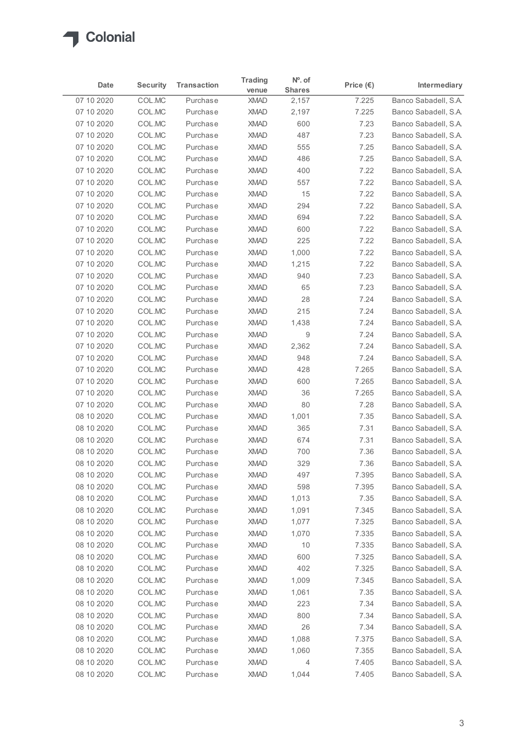

|                          |                  |                      | <b>Trading</b>             | $No$ . of      |                    |                                              |
|--------------------------|------------------|----------------------|----------------------------|----------------|--------------------|----------------------------------------------|
| Date                     | <b>Security</b>  | <b>Transaction</b>   | venue                      | <b>Shares</b>  | Price $(\epsilon)$ | Intermediary                                 |
| 07 10 2020               | COL.MC           | Purchase             | <b>XMAD</b>                | 2,157          | 7.225              | Banco Sabadell, S.A.                         |
| 07 10 2020               | COL.MC           | Purchase             | <b>XMAD</b>                | 2,197          | 7.225              | Banco Sabadell, S.A.                         |
| 07 10 2020               | COL.MC           | Purchase             | <b>XMAD</b>                | 600            | 7.23               | Banco Sabadell, S.A.<br>Banco Sabadell, S.A. |
| 07 10 2020<br>07 10 2020 | COL.MC<br>COL.MC | Purchase<br>Purchase | <b>XMAD</b><br><b>XMAD</b> | 487<br>555     | 7.23<br>7.25       | Banco Sabadell, S.A.                         |
| 07 10 2020               | COL.MC           | Purchase             | <b>XMAD</b>                | 486            | 7.25               | Banco Sabadell, S.A.                         |
| 07 10 2020               | COL.MC           | Purchase             | <b>XMAD</b>                | 400            | 7.22               | Banco Sabadell, S.A.                         |
| 07 10 2020               | COL.MC           | Purchase             | <b>XMAD</b>                | 557            | 7.22               | Banco Sabadell, S.A.                         |
| 07 10 2020               | COL.MC           | Purchase             | <b>XMAD</b>                | 15             | 7.22               | Banco Sabadell, S.A.                         |
| 07 10 2020               | COL.MC           | Purchase             | <b>XMAD</b>                | 294            | 7.22               | Banco Sabadell, S.A.                         |
| 07 10 2020               | COL.MC           | Purchase             | <b>XMAD</b>                | 694            | 7.22               | Banco Sabadell, S.A.                         |
| 07 10 2020               | COL.MC           | Purchase             | <b>XMAD</b>                | 600            | 7.22               | Banco Sabadell, S.A.                         |
| 07 10 2020               | COL.MC           | Purchase             | <b>XMAD</b>                | 225            | 7.22               | Banco Sabadell, S.A.                         |
| 07 10 2020<br>07 10 2020 | COL.MC<br>COL.MC | Purchase<br>Purchase | <b>XMAD</b>                | 1,000          | 7.22               | Banco Sabadell, S.A.<br>Banco Sabadell, S.A. |
| 07 10 2020               | COL.MC           | Purchase             | <b>XMAD</b><br><b>XMAD</b> | 1,215<br>940   | 7.22<br>7.23       | Banco Sabadell, S.A.                         |
| 07 10 2020               | COL.MC           | Purchase             | <b>XMAD</b>                | 65             | 7.23               | Banco Sabadell, S.A.                         |
| 07 10 2020               | COL.MC           | Purchase             | <b>XMAD</b>                | 28             | 7.24               | Banco Sabadell, S.A.                         |
| 07 10 2020               | COL.MC           | Purchase             | <b>XMAD</b>                | 215            | 7.24               | Banco Sabadell, S.A.                         |
| 07 10 2020               | COL.MC           | Purchase             | <b>XMAD</b>                | 1,438          | 7.24               | Banco Sabadell, S.A.                         |
| 07 10 2020               | COL.MC           | Purchase             | <b>XMAD</b>                | 9              | 7.24               | Banco Sabadell, S.A.                         |
| 07 10 2020               | COL.MC           | Purchase             | <b>XMAD</b>                | 2,362          | 7.24               | Banco Sabadell, S.A.                         |
| 07 10 2020               | COL.MC           | Purchase             | <b>XMAD</b>                | 948            | 7.24               | Banco Sabadell, S.A.                         |
| 07 10 2020               | COL.MC           | Purchase             | <b>XMAD</b>                | 428            | 7.265              | Banco Sabadell, S.A.                         |
| 07 10 2020               | COL.MC           | Purchase             | <b>XMAD</b>                | 600            | 7.265              | Banco Sabadell, S.A.                         |
| 07 10 2020<br>07 10 2020 | COL.MC<br>COL.MC | Purchase<br>Purchase | <b>XMAD</b><br><b>XMAD</b> | 36<br>80       | 7.265<br>7.28      | Banco Sabadell, S.A.<br>Banco Sabadell, S.A. |
| 08 10 2020               | COL.MC           | Purchase             | <b>XMAD</b>                | 1,001          | 7.35               | Banco Sabadell, S.A.                         |
| 08 10 2020               | COL.MC           | Purchase             | <b>XMAD</b>                | 365            | 7.31               | Banco Sabadell, S.A.                         |
| 08 10 2020               | COL.MC           | Purchase             | <b>XMAD</b>                | 674            | 7.31               | Banco Sabadell, S.A.                         |
| 08 10 2020               | COL.MC           | Purchase             | <b>XMAD</b>                | 700            | 7.36               | Banco Sabadell, S.A.                         |
| 08 10 2020               | COL.MC           | Purchase             | <b>XMAD</b>                | 329            | 7.36               | Banco Sabadell, S.A.                         |
| 08 10 2020               | COL.MC           | Purchase             | <b>XMAD</b>                | 497            | 7.395              | Banco Sabadell, S.A.                         |
| 08 10 2020               | COL.MC           | Purchase             | <b>XMAD</b>                | 598            | 7.395              | Banco Sabadell, S.A.                         |
| 08 10 2020               | COL.MC           | Purchase             | <b>XMAD</b>                | 1,013          | 7.35               | Banco Sabadell, S.A.                         |
| 08 10 2020               | COL.MC           | Purchase             | <b>XMAD</b>                | 1,091          | 7.345              | Banco Sabadell, S.A.                         |
| 08 10 2020               | COL.MC           | Purchase             | <b>XMAD</b>                | 1,077          | 7.325              | Banco Sabadell, S.A.                         |
| 08 10 2020               | COL.MC           | Purchase             | <b>XMAD</b>                | 1,070          | 7.335              | Banco Sabadell, S.A.                         |
| 08 10 2020               | COL.MC           | Purchase             | <b>XMAD</b>                | 10             | 7.335              | Banco Sabadell, S.A.                         |
| 08 10 2020               | COL.MC           | Purchase             | <b>XMAD</b><br><b>XMAD</b> | 600            | 7.325<br>7.325     | Banco Sabadell, S.A.<br>Banco Sabadell, S.A. |
| 08 10 2020<br>08 10 2020 | COL.MC<br>COL.MC | Purchase<br>Purchase | <b>XMAD</b>                | 402<br>1,009   | 7.345              | Banco Sabadell, S.A.                         |
| 08 10 2020               | COL.MC           | Purchase             | <b>XMAD</b>                | 1,061          | 7.35               | Banco Sabadell, S.A.                         |
| 08 10 2020               | COL.MC           | Purchase             | <b>XMAD</b>                | 223            | 7.34               | Banco Sabadell, S.A.                         |
| 08 10 2020               | COL.MC           | Purchase             | <b>XMAD</b>                | 800            | 7.34               | Banco Sabadell, S.A.                         |
| 08 10 2020               | COL.MC           | Purchase             | <b>XMAD</b>                | 26             | 7.34               | Banco Sabadell, S.A.                         |
| 08 10 2020               | COL.MC           | Purchase             | <b>XMAD</b>                | 1,088          | 7.375              | Banco Sabadell, S.A.                         |
| 08 10 2020               | COL.MC           | Purchase             | XMAD                       | 1,060          | 7.355              | Banco Sabadell, S.A.                         |
|                          | COL.MC           | Purchase             | XMAD                       | $\overline{4}$ | 7.405              | Banco Sabadell, S.A.                         |
| 08 10 2020               |                  |                      |                            |                |                    |                                              |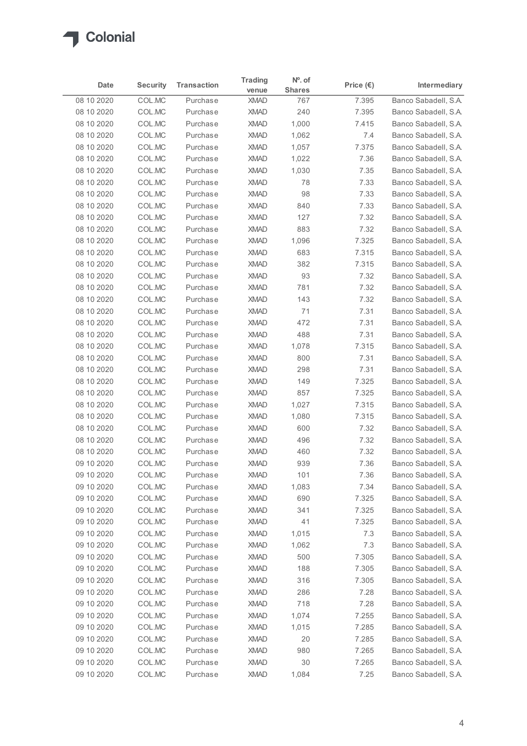

| <b>Security</b><br><b>Transaction</b><br>Intermediary<br>Date<br>Price $(\epsilon)$<br><b>Shares</b><br>venue<br>Banco Sabadell, S.A.<br>COL.MC<br>7.395<br>Purchase<br><b>XMAD</b><br>767<br>COL.MC<br>240<br>7.395<br>Purchase<br><b>XMAD</b><br>COL.MC<br>08 10 2020<br>Purchase<br><b>XMAD</b><br>1,000<br>7.415<br>COL.MC<br><b>XMAD</b><br>1,062<br>08 10 2020<br>Purchase<br>7.4<br>COL.MC<br>7.375<br>08 10 2020<br>Purchase<br><b>XMAD</b><br>1,057<br>COL.MC<br>08 10 2020<br>Purchase<br><b>XMAD</b><br>1,022<br>7.36<br>COL.MC<br>08 10 2020<br>Purchase<br><b>XMAD</b><br>1,030<br>7.35<br>COL.MC<br><b>XMAD</b><br>78<br>7.33<br>Purchase<br>COL.MC<br><b>XMAD</b><br>98<br>7.33<br>08 10 2020<br>Purchase<br>COL.MC<br>08 10 2020<br>Purchase<br><b>XMAD</b><br>840<br>7.33<br>COL.MC<br><b>XMAD</b><br>Purchase<br>127<br>7.32<br>883<br>7.32<br>COL.MC<br>Purchase<br><b>XMAD</b><br>COL.MC<br><b>XMAD</b><br>1,096<br>7.325<br>Purchase<br>08 10 2020<br>COL.MC<br>Purchase<br><b>XMAD</b><br>683<br>7.315<br>COL.MC<br><b>XMAD</b><br>382<br>7.315<br>08 10 2020<br>Purchase<br>08 10 2020<br>COL.MC<br><b>XMAD</b><br>93<br>7.32<br>Purchase<br>781<br>7.32<br>08 10 2020<br>COL.MC<br>Purchase<br><b>XMAD</b><br>143<br>08 10 2020<br>COL.MC<br><b>XMAD</b><br>7.32<br>Purchase<br>COL.MC<br><b>XMAD</b><br>71<br>7.31<br>Purchase<br>COL.MC<br>472<br>7.31<br>Purchase<br><b>XMAD</b><br>COL.MC<br>488<br>7.31<br>Purchase<br><b>XMAD</b><br>COL.MC<br>7.315<br>Purchase<br><b>XMAD</b><br>1,078<br>COL.MC<br>Purchase<br><b>XMAD</b><br>800<br>7.31<br>298<br>7.31<br>COL.MC<br>Purchase<br><b>XMAD</b><br>COL.MC<br>7.325<br>Purchase<br><b>XMAD</b><br>149<br>08 10 2020<br>COL.MC<br>7.325<br>Purchase<br><b>XMAD</b><br>857<br>COL.MC<br>7.315<br>08 10 2020<br>Purchase<br><b>XMAD</b><br>1,027<br>08 10 2020<br>COL.MC<br>Purchase<br><b>XMAD</b><br>1,080<br>7.315<br>600<br>7.32<br>08 10 2020<br>COL.MC<br>Purchase<br><b>XMAD</b><br>COL.MC<br>08 10 2020<br>Purchase<br><b>XMAD</b><br>496<br>7.32<br>COL.MC<br>460<br>7.32<br>08 10 2020<br>Purchase<br><b>XMAD</b><br>939<br>09 10 2020<br>COL.MC<br>Purchase<br><b>XMAD</b><br>7.36<br>09 10 2020<br>COL.MC<br>Purchase<br><b>XMAD</b><br>101<br>7.36<br>COL.MC<br><b>XMAD</b><br>7.34<br>09 10 2020<br>Purchase<br>1,083<br>COL.MC<br><b>XMAD</b><br>690<br>7.325<br>09 10 2020<br>Purchase<br>341<br>7.325<br>09 10 2020<br>COL.MC<br>Purchase<br><b>XMAD</b><br>41<br>7.325<br>COL.MC<br>Purchase<br><b>XMAD</b><br>COL.MC<br><b>XMAD</b><br>1,015<br>7.3<br>Purchase<br>COL.MC<br>7.3<br>Purchase<br><b>XMAD</b><br>1,062<br>COL.MC<br>7.305<br>Purchase<br><b>XMAD</b><br>500<br>188<br>7.305<br>COL.MC<br>Purchase<br><b>XMAD</b><br>316<br>7.305<br>COL.MC<br>Purchase<br><b>XMAD</b><br><b>XMAD</b><br>286<br>7.28<br>COL.MC<br>Purchase<br>718<br>7.28<br>COL.MC<br>Purchase<br><b>XMAD</b><br>COL.MC<br>Purchase<br>1,074<br><b>XMAD</b><br>7.255<br>7.285<br>COL.MC<br>Purchase<br><b>XMAD</b><br>1,015<br>20<br>7.285<br>COL.MC<br><b>XMAD</b><br>Purchase<br>XMAD<br>980<br>7.265<br>COL.MC<br>Banco Sabadell, S.A.<br>Purchase<br>09 10 20 20<br>COL.MC<br>Purchase<br>XMAD<br>30<br>7.265<br>7.25<br>09 10 2020<br>COLMC<br><b>XMAD</b><br>1,084 |             |          | <b>Trading</b> | $No$ . of |  |
|------------------------------------------------------------------------------------------------------------------------------------------------------------------------------------------------------------------------------------------------------------------------------------------------------------------------------------------------------------------------------------------------------------------------------------------------------------------------------------------------------------------------------------------------------------------------------------------------------------------------------------------------------------------------------------------------------------------------------------------------------------------------------------------------------------------------------------------------------------------------------------------------------------------------------------------------------------------------------------------------------------------------------------------------------------------------------------------------------------------------------------------------------------------------------------------------------------------------------------------------------------------------------------------------------------------------------------------------------------------------------------------------------------------------------------------------------------------------------------------------------------------------------------------------------------------------------------------------------------------------------------------------------------------------------------------------------------------------------------------------------------------------------------------------------------------------------------------------------------------------------------------------------------------------------------------------------------------------------------------------------------------------------------------------------------------------------------------------------------------------------------------------------------------------------------------------------------------------------------------------------------------------------------------------------------------------------------------------------------------------------------------------------------------------------------------------------------------------------------------------------------------------------------------------------------------------------------------------------------------------------------------------------------------------------------------------------------------------------------------------------------------------------------------------------------------------------------------------------------------------------------------------------------------------------------------------------------------------------------------------------------------------------------------------------------------------------------------------------------------------------------------------------------------------------------------------------------------------------------------------------|-------------|----------|----------------|-----------|--|
| Banco Sabadell, S.A.<br>Banco Sabadell, S.A.<br>Banco Sabadell, S.A.<br>Banco Sabadell, S.A.<br>Banco Sabadell, S.A.<br>Banco Sabadell, S.A.<br>Banco Sabadell, S.A.<br>Banco Sabadell, S.A.<br>Banco Sabadell, S.A.<br>Banco Sabadell, S.A.<br>Banco Sabadell, S.A.<br>Banco Sabadell, S.A.<br>Banco Sabadell, S.A.<br>Banco Sabadell, S.A.<br>Banco Sabadell, S.A.<br>Banco Sabadell, S.A.<br>Banco Sabadell, S.A.<br>Banco Sabadell, S.A.<br>Banco Sabadell, S.A.<br>Banco Sabadell, S.A.<br>Banco Sabadell, S.A.<br>Banco Sabadell, S.A.<br>Banco Sabadell, S.A.<br>Banco Sabadell, S.A.<br>Banco Sabadell, S.A.<br>Banco Sabadell, S.A.<br>Banco Sabadell, S.A.<br>Banco Sabadell, S.A.<br>Banco Sabadell, S.A.<br>Banco Sabadell, S.A.<br>Banco Sabadell, S.A.<br>Banco Sabadell, S.A.<br>Banco Sabadell, S.A.<br>Banco Sabadell, S.A.<br>Banco Sabadell, S.A.<br>Banco Sabadell, S.A.<br>Banco Sabadell, S.A.<br>Banco Sabadell, S.A.<br>Banco Sabadell, S.A.<br>Banco Sabadell, S.A.<br>Banco Sabadell, S.A.<br>Banco Sabadell, S.A.<br>Banco Sabadell, S.A.<br>Banco Sabadell, S.A.<br>Banco Sabadell, S.A.<br>Banco Sabadell, S.A.<br>Banco Sabadell, S.A.<br>Banco Sabadell, S.A.                                                                                                                                                                                                                                                                                                                                                                                                                                                                                                                                                                                                                                                                                                                                                                                                                                                                                                                                                                                                                                                                                                                                                                                                                                                                                                                                                                                                                                                                                                                                                                                                                                                                                                                                                                                                                                                                                                                                                                                                                                                         |             |          |                |           |  |
|                                                                                                                                                                                                                                                                                                                                                                                                                                                                                                                                                                                                                                                                                                                                                                                                                                                                                                                                                                                                                                                                                                                                                                                                                                                                                                                                                                                                                                                                                                                                                                                                                                                                                                                                                                                                                                                                                                                                                                                                                                                                                                                                                                                                                                                                                                                                                                                                                                                                                                                                                                                                                                                                                                                                                                                                                                                                                                                                                                                                                                                                                                                                                                                                                                                      | 08 10 2020  |          |                |           |  |
|                                                                                                                                                                                                                                                                                                                                                                                                                                                                                                                                                                                                                                                                                                                                                                                                                                                                                                                                                                                                                                                                                                                                                                                                                                                                                                                                                                                                                                                                                                                                                                                                                                                                                                                                                                                                                                                                                                                                                                                                                                                                                                                                                                                                                                                                                                                                                                                                                                                                                                                                                                                                                                                                                                                                                                                                                                                                                                                                                                                                                                                                                                                                                                                                                                                      | 08 10 2020  |          |                |           |  |
|                                                                                                                                                                                                                                                                                                                                                                                                                                                                                                                                                                                                                                                                                                                                                                                                                                                                                                                                                                                                                                                                                                                                                                                                                                                                                                                                                                                                                                                                                                                                                                                                                                                                                                                                                                                                                                                                                                                                                                                                                                                                                                                                                                                                                                                                                                                                                                                                                                                                                                                                                                                                                                                                                                                                                                                                                                                                                                                                                                                                                                                                                                                                                                                                                                                      |             |          |                |           |  |
|                                                                                                                                                                                                                                                                                                                                                                                                                                                                                                                                                                                                                                                                                                                                                                                                                                                                                                                                                                                                                                                                                                                                                                                                                                                                                                                                                                                                                                                                                                                                                                                                                                                                                                                                                                                                                                                                                                                                                                                                                                                                                                                                                                                                                                                                                                                                                                                                                                                                                                                                                                                                                                                                                                                                                                                                                                                                                                                                                                                                                                                                                                                                                                                                                                                      |             |          |                |           |  |
|                                                                                                                                                                                                                                                                                                                                                                                                                                                                                                                                                                                                                                                                                                                                                                                                                                                                                                                                                                                                                                                                                                                                                                                                                                                                                                                                                                                                                                                                                                                                                                                                                                                                                                                                                                                                                                                                                                                                                                                                                                                                                                                                                                                                                                                                                                                                                                                                                                                                                                                                                                                                                                                                                                                                                                                                                                                                                                                                                                                                                                                                                                                                                                                                                                                      |             |          |                |           |  |
|                                                                                                                                                                                                                                                                                                                                                                                                                                                                                                                                                                                                                                                                                                                                                                                                                                                                                                                                                                                                                                                                                                                                                                                                                                                                                                                                                                                                                                                                                                                                                                                                                                                                                                                                                                                                                                                                                                                                                                                                                                                                                                                                                                                                                                                                                                                                                                                                                                                                                                                                                                                                                                                                                                                                                                                                                                                                                                                                                                                                                                                                                                                                                                                                                                                      |             |          |                |           |  |
|                                                                                                                                                                                                                                                                                                                                                                                                                                                                                                                                                                                                                                                                                                                                                                                                                                                                                                                                                                                                                                                                                                                                                                                                                                                                                                                                                                                                                                                                                                                                                                                                                                                                                                                                                                                                                                                                                                                                                                                                                                                                                                                                                                                                                                                                                                                                                                                                                                                                                                                                                                                                                                                                                                                                                                                                                                                                                                                                                                                                                                                                                                                                                                                                                                                      | 08 10 2020  |          |                |           |  |
|                                                                                                                                                                                                                                                                                                                                                                                                                                                                                                                                                                                                                                                                                                                                                                                                                                                                                                                                                                                                                                                                                                                                                                                                                                                                                                                                                                                                                                                                                                                                                                                                                                                                                                                                                                                                                                                                                                                                                                                                                                                                                                                                                                                                                                                                                                                                                                                                                                                                                                                                                                                                                                                                                                                                                                                                                                                                                                                                                                                                                                                                                                                                                                                                                                                      |             |          |                |           |  |
|                                                                                                                                                                                                                                                                                                                                                                                                                                                                                                                                                                                                                                                                                                                                                                                                                                                                                                                                                                                                                                                                                                                                                                                                                                                                                                                                                                                                                                                                                                                                                                                                                                                                                                                                                                                                                                                                                                                                                                                                                                                                                                                                                                                                                                                                                                                                                                                                                                                                                                                                                                                                                                                                                                                                                                                                                                                                                                                                                                                                                                                                                                                                                                                                                                                      |             |          |                |           |  |
|                                                                                                                                                                                                                                                                                                                                                                                                                                                                                                                                                                                                                                                                                                                                                                                                                                                                                                                                                                                                                                                                                                                                                                                                                                                                                                                                                                                                                                                                                                                                                                                                                                                                                                                                                                                                                                                                                                                                                                                                                                                                                                                                                                                                                                                                                                                                                                                                                                                                                                                                                                                                                                                                                                                                                                                                                                                                                                                                                                                                                                                                                                                                                                                                                                                      | 08 10 2020  |          |                |           |  |
|                                                                                                                                                                                                                                                                                                                                                                                                                                                                                                                                                                                                                                                                                                                                                                                                                                                                                                                                                                                                                                                                                                                                                                                                                                                                                                                                                                                                                                                                                                                                                                                                                                                                                                                                                                                                                                                                                                                                                                                                                                                                                                                                                                                                                                                                                                                                                                                                                                                                                                                                                                                                                                                                                                                                                                                                                                                                                                                                                                                                                                                                                                                                                                                                                                                      | 08 10 2020  |          |                |           |  |
|                                                                                                                                                                                                                                                                                                                                                                                                                                                                                                                                                                                                                                                                                                                                                                                                                                                                                                                                                                                                                                                                                                                                                                                                                                                                                                                                                                                                                                                                                                                                                                                                                                                                                                                                                                                                                                                                                                                                                                                                                                                                                                                                                                                                                                                                                                                                                                                                                                                                                                                                                                                                                                                                                                                                                                                                                                                                                                                                                                                                                                                                                                                                                                                                                                                      | 08 10 2020  |          |                |           |  |
|                                                                                                                                                                                                                                                                                                                                                                                                                                                                                                                                                                                                                                                                                                                                                                                                                                                                                                                                                                                                                                                                                                                                                                                                                                                                                                                                                                                                                                                                                                                                                                                                                                                                                                                                                                                                                                                                                                                                                                                                                                                                                                                                                                                                                                                                                                                                                                                                                                                                                                                                                                                                                                                                                                                                                                                                                                                                                                                                                                                                                                                                                                                                                                                                                                                      |             |          |                |           |  |
|                                                                                                                                                                                                                                                                                                                                                                                                                                                                                                                                                                                                                                                                                                                                                                                                                                                                                                                                                                                                                                                                                                                                                                                                                                                                                                                                                                                                                                                                                                                                                                                                                                                                                                                                                                                                                                                                                                                                                                                                                                                                                                                                                                                                                                                                                                                                                                                                                                                                                                                                                                                                                                                                                                                                                                                                                                                                                                                                                                                                                                                                                                                                                                                                                                                      |             |          |                |           |  |
|                                                                                                                                                                                                                                                                                                                                                                                                                                                                                                                                                                                                                                                                                                                                                                                                                                                                                                                                                                                                                                                                                                                                                                                                                                                                                                                                                                                                                                                                                                                                                                                                                                                                                                                                                                                                                                                                                                                                                                                                                                                                                                                                                                                                                                                                                                                                                                                                                                                                                                                                                                                                                                                                                                                                                                                                                                                                                                                                                                                                                                                                                                                                                                                                                                                      |             |          |                |           |  |
|                                                                                                                                                                                                                                                                                                                                                                                                                                                                                                                                                                                                                                                                                                                                                                                                                                                                                                                                                                                                                                                                                                                                                                                                                                                                                                                                                                                                                                                                                                                                                                                                                                                                                                                                                                                                                                                                                                                                                                                                                                                                                                                                                                                                                                                                                                                                                                                                                                                                                                                                                                                                                                                                                                                                                                                                                                                                                                                                                                                                                                                                                                                                                                                                                                                      |             |          |                |           |  |
|                                                                                                                                                                                                                                                                                                                                                                                                                                                                                                                                                                                                                                                                                                                                                                                                                                                                                                                                                                                                                                                                                                                                                                                                                                                                                                                                                                                                                                                                                                                                                                                                                                                                                                                                                                                                                                                                                                                                                                                                                                                                                                                                                                                                                                                                                                                                                                                                                                                                                                                                                                                                                                                                                                                                                                                                                                                                                                                                                                                                                                                                                                                                                                                                                                                      | 08 10 2020  |          |                |           |  |
|                                                                                                                                                                                                                                                                                                                                                                                                                                                                                                                                                                                                                                                                                                                                                                                                                                                                                                                                                                                                                                                                                                                                                                                                                                                                                                                                                                                                                                                                                                                                                                                                                                                                                                                                                                                                                                                                                                                                                                                                                                                                                                                                                                                                                                                                                                                                                                                                                                                                                                                                                                                                                                                                                                                                                                                                                                                                                                                                                                                                                                                                                                                                                                                                                                                      | 08 10 2020  |          |                |           |  |
|                                                                                                                                                                                                                                                                                                                                                                                                                                                                                                                                                                                                                                                                                                                                                                                                                                                                                                                                                                                                                                                                                                                                                                                                                                                                                                                                                                                                                                                                                                                                                                                                                                                                                                                                                                                                                                                                                                                                                                                                                                                                                                                                                                                                                                                                                                                                                                                                                                                                                                                                                                                                                                                                                                                                                                                                                                                                                                                                                                                                                                                                                                                                                                                                                                                      | 08 10 2020  |          |                |           |  |
|                                                                                                                                                                                                                                                                                                                                                                                                                                                                                                                                                                                                                                                                                                                                                                                                                                                                                                                                                                                                                                                                                                                                                                                                                                                                                                                                                                                                                                                                                                                                                                                                                                                                                                                                                                                                                                                                                                                                                                                                                                                                                                                                                                                                                                                                                                                                                                                                                                                                                                                                                                                                                                                                                                                                                                                                                                                                                                                                                                                                                                                                                                                                                                                                                                                      | 08 10 2020  |          |                |           |  |
|                                                                                                                                                                                                                                                                                                                                                                                                                                                                                                                                                                                                                                                                                                                                                                                                                                                                                                                                                                                                                                                                                                                                                                                                                                                                                                                                                                                                                                                                                                                                                                                                                                                                                                                                                                                                                                                                                                                                                                                                                                                                                                                                                                                                                                                                                                                                                                                                                                                                                                                                                                                                                                                                                                                                                                                                                                                                                                                                                                                                                                                                                                                                                                                                                                                      | 08 10 2020  |          |                |           |  |
|                                                                                                                                                                                                                                                                                                                                                                                                                                                                                                                                                                                                                                                                                                                                                                                                                                                                                                                                                                                                                                                                                                                                                                                                                                                                                                                                                                                                                                                                                                                                                                                                                                                                                                                                                                                                                                                                                                                                                                                                                                                                                                                                                                                                                                                                                                                                                                                                                                                                                                                                                                                                                                                                                                                                                                                                                                                                                                                                                                                                                                                                                                                                                                                                                                                      | 08 10 2020  |          |                |           |  |
|                                                                                                                                                                                                                                                                                                                                                                                                                                                                                                                                                                                                                                                                                                                                                                                                                                                                                                                                                                                                                                                                                                                                                                                                                                                                                                                                                                                                                                                                                                                                                                                                                                                                                                                                                                                                                                                                                                                                                                                                                                                                                                                                                                                                                                                                                                                                                                                                                                                                                                                                                                                                                                                                                                                                                                                                                                                                                                                                                                                                                                                                                                                                                                                                                                                      | 08 10 2020  |          |                |           |  |
|                                                                                                                                                                                                                                                                                                                                                                                                                                                                                                                                                                                                                                                                                                                                                                                                                                                                                                                                                                                                                                                                                                                                                                                                                                                                                                                                                                                                                                                                                                                                                                                                                                                                                                                                                                                                                                                                                                                                                                                                                                                                                                                                                                                                                                                                                                                                                                                                                                                                                                                                                                                                                                                                                                                                                                                                                                                                                                                                                                                                                                                                                                                                                                                                                                                      |             |          |                |           |  |
|                                                                                                                                                                                                                                                                                                                                                                                                                                                                                                                                                                                                                                                                                                                                                                                                                                                                                                                                                                                                                                                                                                                                                                                                                                                                                                                                                                                                                                                                                                                                                                                                                                                                                                                                                                                                                                                                                                                                                                                                                                                                                                                                                                                                                                                                                                                                                                                                                                                                                                                                                                                                                                                                                                                                                                                                                                                                                                                                                                                                                                                                                                                                                                                                                                                      |             |          |                |           |  |
|                                                                                                                                                                                                                                                                                                                                                                                                                                                                                                                                                                                                                                                                                                                                                                                                                                                                                                                                                                                                                                                                                                                                                                                                                                                                                                                                                                                                                                                                                                                                                                                                                                                                                                                                                                                                                                                                                                                                                                                                                                                                                                                                                                                                                                                                                                                                                                                                                                                                                                                                                                                                                                                                                                                                                                                                                                                                                                                                                                                                                                                                                                                                                                                                                                                      |             |          |                |           |  |
|                                                                                                                                                                                                                                                                                                                                                                                                                                                                                                                                                                                                                                                                                                                                                                                                                                                                                                                                                                                                                                                                                                                                                                                                                                                                                                                                                                                                                                                                                                                                                                                                                                                                                                                                                                                                                                                                                                                                                                                                                                                                                                                                                                                                                                                                                                                                                                                                                                                                                                                                                                                                                                                                                                                                                                                                                                                                                                                                                                                                                                                                                                                                                                                                                                                      |             |          |                |           |  |
|                                                                                                                                                                                                                                                                                                                                                                                                                                                                                                                                                                                                                                                                                                                                                                                                                                                                                                                                                                                                                                                                                                                                                                                                                                                                                                                                                                                                                                                                                                                                                                                                                                                                                                                                                                                                                                                                                                                                                                                                                                                                                                                                                                                                                                                                                                                                                                                                                                                                                                                                                                                                                                                                                                                                                                                                                                                                                                                                                                                                                                                                                                                                                                                                                                                      |             |          |                |           |  |
|                                                                                                                                                                                                                                                                                                                                                                                                                                                                                                                                                                                                                                                                                                                                                                                                                                                                                                                                                                                                                                                                                                                                                                                                                                                                                                                                                                                                                                                                                                                                                                                                                                                                                                                                                                                                                                                                                                                                                                                                                                                                                                                                                                                                                                                                                                                                                                                                                                                                                                                                                                                                                                                                                                                                                                                                                                                                                                                                                                                                                                                                                                                                                                                                                                                      |             |          |                |           |  |
|                                                                                                                                                                                                                                                                                                                                                                                                                                                                                                                                                                                                                                                                                                                                                                                                                                                                                                                                                                                                                                                                                                                                                                                                                                                                                                                                                                                                                                                                                                                                                                                                                                                                                                                                                                                                                                                                                                                                                                                                                                                                                                                                                                                                                                                                                                                                                                                                                                                                                                                                                                                                                                                                                                                                                                                                                                                                                                                                                                                                                                                                                                                                                                                                                                                      |             |          |                |           |  |
|                                                                                                                                                                                                                                                                                                                                                                                                                                                                                                                                                                                                                                                                                                                                                                                                                                                                                                                                                                                                                                                                                                                                                                                                                                                                                                                                                                                                                                                                                                                                                                                                                                                                                                                                                                                                                                                                                                                                                                                                                                                                                                                                                                                                                                                                                                                                                                                                                                                                                                                                                                                                                                                                                                                                                                                                                                                                                                                                                                                                                                                                                                                                                                                                                                                      |             |          |                |           |  |
|                                                                                                                                                                                                                                                                                                                                                                                                                                                                                                                                                                                                                                                                                                                                                                                                                                                                                                                                                                                                                                                                                                                                                                                                                                                                                                                                                                                                                                                                                                                                                                                                                                                                                                                                                                                                                                                                                                                                                                                                                                                                                                                                                                                                                                                                                                                                                                                                                                                                                                                                                                                                                                                                                                                                                                                                                                                                                                                                                                                                                                                                                                                                                                                                                                                      |             |          |                |           |  |
|                                                                                                                                                                                                                                                                                                                                                                                                                                                                                                                                                                                                                                                                                                                                                                                                                                                                                                                                                                                                                                                                                                                                                                                                                                                                                                                                                                                                                                                                                                                                                                                                                                                                                                                                                                                                                                                                                                                                                                                                                                                                                                                                                                                                                                                                                                                                                                                                                                                                                                                                                                                                                                                                                                                                                                                                                                                                                                                                                                                                                                                                                                                                                                                                                                                      |             |          |                |           |  |
|                                                                                                                                                                                                                                                                                                                                                                                                                                                                                                                                                                                                                                                                                                                                                                                                                                                                                                                                                                                                                                                                                                                                                                                                                                                                                                                                                                                                                                                                                                                                                                                                                                                                                                                                                                                                                                                                                                                                                                                                                                                                                                                                                                                                                                                                                                                                                                                                                                                                                                                                                                                                                                                                                                                                                                                                                                                                                                                                                                                                                                                                                                                                                                                                                                                      | 09 10 2020  |          |                |           |  |
|                                                                                                                                                                                                                                                                                                                                                                                                                                                                                                                                                                                                                                                                                                                                                                                                                                                                                                                                                                                                                                                                                                                                                                                                                                                                                                                                                                                                                                                                                                                                                                                                                                                                                                                                                                                                                                                                                                                                                                                                                                                                                                                                                                                                                                                                                                                                                                                                                                                                                                                                                                                                                                                                                                                                                                                                                                                                                                                                                                                                                                                                                                                                                                                                                                                      | 09 10 2020  |          |                |           |  |
|                                                                                                                                                                                                                                                                                                                                                                                                                                                                                                                                                                                                                                                                                                                                                                                                                                                                                                                                                                                                                                                                                                                                                                                                                                                                                                                                                                                                                                                                                                                                                                                                                                                                                                                                                                                                                                                                                                                                                                                                                                                                                                                                                                                                                                                                                                                                                                                                                                                                                                                                                                                                                                                                                                                                                                                                                                                                                                                                                                                                                                                                                                                                                                                                                                                      | 09 10 2020  |          |                |           |  |
|                                                                                                                                                                                                                                                                                                                                                                                                                                                                                                                                                                                                                                                                                                                                                                                                                                                                                                                                                                                                                                                                                                                                                                                                                                                                                                                                                                                                                                                                                                                                                                                                                                                                                                                                                                                                                                                                                                                                                                                                                                                                                                                                                                                                                                                                                                                                                                                                                                                                                                                                                                                                                                                                                                                                                                                                                                                                                                                                                                                                                                                                                                                                                                                                                                                      | 09 10 2020  |          |                |           |  |
|                                                                                                                                                                                                                                                                                                                                                                                                                                                                                                                                                                                                                                                                                                                                                                                                                                                                                                                                                                                                                                                                                                                                                                                                                                                                                                                                                                                                                                                                                                                                                                                                                                                                                                                                                                                                                                                                                                                                                                                                                                                                                                                                                                                                                                                                                                                                                                                                                                                                                                                                                                                                                                                                                                                                                                                                                                                                                                                                                                                                                                                                                                                                                                                                                                                      | 09 10 2020  |          |                |           |  |
|                                                                                                                                                                                                                                                                                                                                                                                                                                                                                                                                                                                                                                                                                                                                                                                                                                                                                                                                                                                                                                                                                                                                                                                                                                                                                                                                                                                                                                                                                                                                                                                                                                                                                                                                                                                                                                                                                                                                                                                                                                                                                                                                                                                                                                                                                                                                                                                                                                                                                                                                                                                                                                                                                                                                                                                                                                                                                                                                                                                                                                                                                                                                                                                                                                                      | 09 10 2020  |          |                |           |  |
|                                                                                                                                                                                                                                                                                                                                                                                                                                                                                                                                                                                                                                                                                                                                                                                                                                                                                                                                                                                                                                                                                                                                                                                                                                                                                                                                                                                                                                                                                                                                                                                                                                                                                                                                                                                                                                                                                                                                                                                                                                                                                                                                                                                                                                                                                                                                                                                                                                                                                                                                                                                                                                                                                                                                                                                                                                                                                                                                                                                                                                                                                                                                                                                                                                                      | 09 10 2020  |          |                |           |  |
|                                                                                                                                                                                                                                                                                                                                                                                                                                                                                                                                                                                                                                                                                                                                                                                                                                                                                                                                                                                                                                                                                                                                                                                                                                                                                                                                                                                                                                                                                                                                                                                                                                                                                                                                                                                                                                                                                                                                                                                                                                                                                                                                                                                                                                                                                                                                                                                                                                                                                                                                                                                                                                                                                                                                                                                                                                                                                                                                                                                                                                                                                                                                                                                                                                                      | 09 10 2020  |          |                |           |  |
|                                                                                                                                                                                                                                                                                                                                                                                                                                                                                                                                                                                                                                                                                                                                                                                                                                                                                                                                                                                                                                                                                                                                                                                                                                                                                                                                                                                                                                                                                                                                                                                                                                                                                                                                                                                                                                                                                                                                                                                                                                                                                                                                                                                                                                                                                                                                                                                                                                                                                                                                                                                                                                                                                                                                                                                                                                                                                                                                                                                                                                                                                                                                                                                                                                                      | 09 10 2020  |          |                |           |  |
|                                                                                                                                                                                                                                                                                                                                                                                                                                                                                                                                                                                                                                                                                                                                                                                                                                                                                                                                                                                                                                                                                                                                                                                                                                                                                                                                                                                                                                                                                                                                                                                                                                                                                                                                                                                                                                                                                                                                                                                                                                                                                                                                                                                                                                                                                                                                                                                                                                                                                                                                                                                                                                                                                                                                                                                                                                                                                                                                                                                                                                                                                                                                                                                                                                                      | 09 10 2020  |          |                |           |  |
|                                                                                                                                                                                                                                                                                                                                                                                                                                                                                                                                                                                                                                                                                                                                                                                                                                                                                                                                                                                                                                                                                                                                                                                                                                                                                                                                                                                                                                                                                                                                                                                                                                                                                                                                                                                                                                                                                                                                                                                                                                                                                                                                                                                                                                                                                                                                                                                                                                                                                                                                                                                                                                                                                                                                                                                                                                                                                                                                                                                                                                                                                                                                                                                                                                                      | 09 10 2020  |          |                |           |  |
|                                                                                                                                                                                                                                                                                                                                                                                                                                                                                                                                                                                                                                                                                                                                                                                                                                                                                                                                                                                                                                                                                                                                                                                                                                                                                                                                                                                                                                                                                                                                                                                                                                                                                                                                                                                                                                                                                                                                                                                                                                                                                                                                                                                                                                                                                                                                                                                                                                                                                                                                                                                                                                                                                                                                                                                                                                                                                                                                                                                                                                                                                                                                                                                                                                                      | 09 10 20 20 |          |                |           |  |
|                                                                                                                                                                                                                                                                                                                                                                                                                                                                                                                                                                                                                                                                                                                                                                                                                                                                                                                                                                                                                                                                                                                                                                                                                                                                                                                                                                                                                                                                                                                                                                                                                                                                                                                                                                                                                                                                                                                                                                                                                                                                                                                                                                                                                                                                                                                                                                                                                                                                                                                                                                                                                                                                                                                                                                                                                                                                                                                                                                                                                                                                                                                                                                                                                                                      |             | Purchase |                |           |  |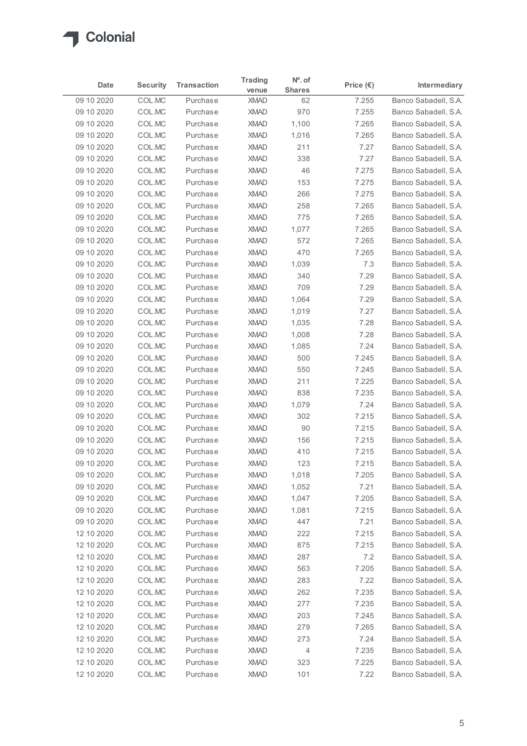

|                           |                  |                      | <b>Trading</b>             | $N^o$ . of     |                    |                                              |
|---------------------------|------------------|----------------------|----------------------------|----------------|--------------------|----------------------------------------------|
| Date                      | <b>Security</b>  | <b>Transaction</b>   | venue                      | <b>Shares</b>  | Price $(\epsilon)$ | Intermediary                                 |
| 09 10 2020                | COL.MC           | Purchase             | <b>XMAD</b>                | 62             | 7.255              | Banco Sabadell, S.A.                         |
| 09 10 2020                | COL.MC           | Purchase             | <b>XMAD</b>                | 970            | 7.255              | Banco Sabadell, S.A.                         |
| 09 10 2020<br>09 10 2020  | COL.MC<br>COL.MC | Purchase<br>Purchase | <b>XMAD</b><br><b>XMAD</b> | 1,100<br>1,016 | 7.265<br>7.265     | Banco Sabadell, S.A.<br>Banco Sabadell, S.A. |
| 09 10 2020                | COL.MC           | Purchase             | <b>XMAD</b>                | 211            | 7.27               | Banco Sabadell, S.A.                         |
| 09 10 2020                | COL.MC           | Purchase             | <b>XMAD</b>                | 338            | 7.27               | Banco Sabadell, S.A.                         |
| 09 10 2020                | COL.MC           | Purchase             | <b>XMAD</b>                | 46             | 7.275              | Banco Sabadell, S.A.                         |
| 09 10 2020                | COL.MC           | Purchase             | <b>XMAD</b>                | 153            | 7.275              | Banco Sabadell, S.A.                         |
| 09 10 2020                | COL.MC           | Purchase             | <b>XMAD</b>                | 266            | 7.275              | Banco Sabadell, S.A.                         |
| 09 10 2020                | COL.MC           | Purchase             | <b>XMAD</b>                | 258            | 7.265              | Banco Sabadell, S.A.                         |
| 09 10 2020                | COL.MC           | Purchase             | <b>XMAD</b>                | 775            | 7.265              | Banco Sabadell, S.A.                         |
| 09 10 2020                | COL.MC           | Purchase             | <b>XMAD</b>                | 1,077          | 7.265              | Banco Sabadell, S.A.                         |
| 09 10 2020                | COL.MC           | Purchase             | <b>XMAD</b>                | 572            | 7.265              | Banco Sabadell, S.A.<br>Banco Sabadell, S.A. |
| 09 10 20 20<br>09 10 2020 | COL.MC<br>COL.MC | Purchase<br>Purchase | <b>XMAD</b><br><b>XMAD</b> | 470<br>1,039   | 7.265<br>7.3       | Banco Sabadell, S.A.                         |
| 09 10 20 20               | COL.MC           | Purchase             | <b>XMAD</b>                | 340            | 7.29               | Banco Sabadell, S.A.                         |
| 09 10 2020                | COL.MC           | Purchase             | <b>XMAD</b>                | 709            | 7.29               | Banco Sabadell, S.A.                         |
| 09 10 2020                | COL.MC           | Purchase             | <b>XMAD</b>                | 1,064          | 7.29               | Banco Sabadell, S.A.                         |
| 09 10 2020                | COL.MC           | Purchase             | <b>XMAD</b>                | 1,019          | 7.27               | Banco Sabadell, S.A.                         |
| 09 10 2020                | COL.MC           | Purchase             | <b>XMAD</b>                | 1,035          | 7.28               | Banco Sabadell, S.A.                         |
| 09 10 2020                | COL.MC           | Purchase             | <b>XMAD</b>                | 1,008          | 7.28               | Banco Sabadell, S.A.                         |
| 09 10 2020                | COL.MC           | Purchase             | <b>XMAD</b>                | 1,085          | 7.24               | Banco Sabadell, S.A.                         |
| 09 10 2020                | COL.MC           | Purchase             | <b>XMAD</b>                | 500            | 7.245              | Banco Sabadell, S.A.                         |
| 09 10 2020                | COL.MC           | Purchase             | <b>XMAD</b>                | 550            | 7.245              | Banco Sabadell, S.A.                         |
| 09 10 2020<br>09 10 2020  | COL.MC<br>COL.MC | Purchase<br>Purchase | <b>XMAD</b><br><b>XMAD</b> | 211<br>838     | 7.225<br>7.235     | Banco Sabadell, S.A.<br>Banco Sabadell, S.A. |
| 09 10 2020                | COL.MC           | Purchase             | <b>XMAD</b>                | 1,079          | 7.24               | Banco Sabadell, S.A.                         |
| 09 10 2020                | COL.MC           | Purchase             | <b>XMAD</b>                | 302            | 7.215              | Banco Sabadell, S.A.                         |
| 09 10 2020                | COL.MC           | Purchase             | <b>XMAD</b>                | 90             | 7.215              | Banco Sabadell, S.A.                         |
| 09 10 2020                | COL.MC           | Purchase             | <b>XMAD</b>                | 156            | 7.215              | Banco Sabadell, S.A.                         |
| 09 10 2020                | COL.MC           | Purchase             | <b>XMAD</b>                | 410            | 7.215              | Banco Sabadell, S.A.                         |
| 09 10 2020                | COL.MC           | Purchase             | <b>XMAD</b>                | 123            | 7.215              | Banco Sabadell, S.A.                         |
| 09 10 2020                | COL.MC           | Purchase             | <b>XMAD</b>                | 1,018          | 7.205              | Banco Sabadell, S.A.                         |
| 09 10 2020                | COL.MC           | Purchase             | <b>XMAD</b>                | 1,052          | 7.21               | Banco Sabadell, S.A.                         |
| 09 10 2020                | COL.MC           | Purchase             | <b>XMAD</b>                | 1,047          | 7.205              | Banco Sabadell, S.A.                         |
| 09 10 2020                | COL.MC           | Purchase             | <b>XMAD</b>                | 1,081          | 7.215              | Banco Sabadell, S.A.                         |
| 09 10 2020                | COL.MC<br>COL.MC | Purchase             | <b>XMAD</b><br><b>XMAD</b> | 447<br>222     | 7.21<br>7.215      | Banco Sabadell, S.A.<br>Banco Sabadell, S.A. |
| 12 10 2020<br>12 10 2020  | COL.MC           | Purchase<br>Purchase | <b>XMAD</b>                | 875            | 7.215              | Banco Sabadell, S.A.                         |
| 12 10 2020                | COL.MC           | Purchase             | <b>XMAD</b>                | 287            | 7.2                | Banco Sabadell, S.A.                         |
| 12 10 2020                | COL.MC           | Purchase             | <b>XMAD</b>                | 563            | 7.205              | Banco Sabadell, S.A.                         |
| 12 10 2020                | COL.MC           | Purchase             | <b>XMAD</b>                | 283            | 7.22               | Banco Sabadell, S.A.                         |
| 12 10 2020                | COL.MC           | Purchase             | <b>XMAD</b>                | 262            | 7.235              | Banco Sabadell, S.A.                         |
| 12 10 2020                | COL.MC           | Purchase             | <b>XMAD</b>                | 277            | 7.235              | Banco Sabadell, S.A.                         |
| 12 10 2020                | COL.MC           | Purchase             | <b>XMAD</b>                | 203            | 7.245              | Banco Sabadell, S.A.                         |
| 12 10 2020                | COL.MC           | Purchase             | <b>XMAD</b>                | 279            | 7.265              | Banco Sabadell, S.A.                         |
| 12 10 2020                | COL.MC           | Purchase             | <b>XMAD</b>                | 273            | 7.24               | Banco Sabadell, S.A.                         |
| 12 10 2020                | COL.MC           | Purchase             | XMAD                       | 4              | 7.235              | Banco Sabadell, S.A.                         |
| 12 10 2020                | COLMC            | Purchase             | XMAD                       | 323            | 7.225              | Banco Sabadell, S.A.                         |
| 12 10 2020                | COLMC            | Purchase             | XMAD                       | 101            | 7.22               | Banco Sabadell, S.A.                         |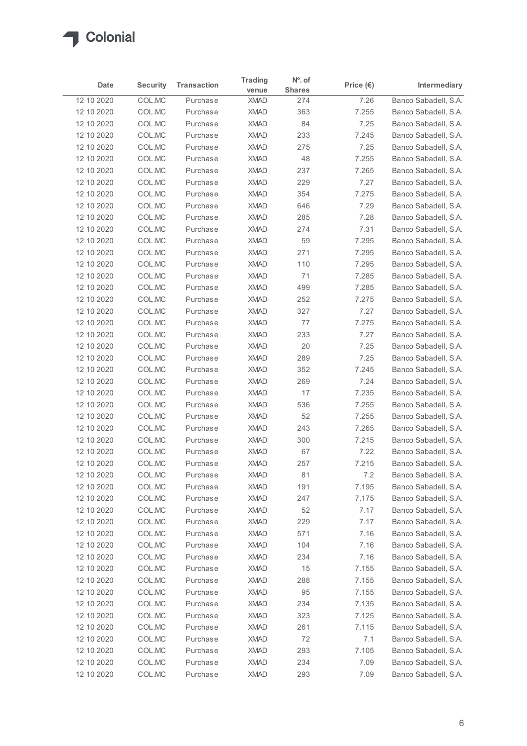

| Intermediary<br><b>Shares</b><br>venue<br>Banco Sabadell, S.A.<br>12 10 2020<br>COL.MC<br>7.26<br>Purchase<br><b>XMAD</b><br>274<br>COL.MC<br>7.255<br>Banco Sabadell, S.A.<br>12 10 2020<br>Purchase<br><b>XMAD</b><br>363<br>COL.MC<br>84<br>Banco Sabadell, S.A.<br>12 10 2020<br>Purchase<br><b>XMAD</b><br>7.25<br>COL.MC<br>233<br>7.245<br>12 10 2020<br>Purchase<br><b>XMAD</b><br>Banco Sabadell, S.A.<br>COL.MC<br>Banco Sabadell, S.A.<br>12 10 2020<br>Purchase<br><b>XMAD</b><br>275<br>7.25<br>COL.MC<br>Banco Sabadell, S.A.<br>Purchase<br><b>XMAD</b><br>48<br>7.255<br>COL.MC<br>Purchase<br><b>XMAD</b><br>237<br>7.265<br>Banco Sabadell, S.A.<br>COL.MC<br><b>XMAD</b><br>229<br>7.27<br>Banco Sabadell, S.A.<br>Purchase<br>COL.MC<br>354<br>7.275<br>Purchase<br><b>XMAD</b><br>Banco Sabadell, S.A.<br>COL.MC<br>Purchase<br><b>XMAD</b><br>646<br>7.29<br>Banco Sabadell, S.A.<br>COL.MC<br>Banco Sabadell, S.A.<br>Purchase<br><b>XMAD</b><br>285<br>7.28<br>7.31<br>COL.MC<br>Purchase<br><b>XMAD</b><br>274<br>Banco Sabadell, S.A.<br>COL.MC<br><b>XMAD</b><br>59<br>7.295<br>Banco Sabadell, S.A.<br>12 10 2020<br>Purchase<br>Banco Sabadell, S.A.<br>12 10 2020<br>COL.MC<br>Purchase<br><b>XMAD</b><br>271<br>7.295<br>COL.MC<br>XMAD<br>7.295<br>12 10 2020<br>Purchase<br>110<br>COL.MC<br><b>XMAD</b><br>71<br>7.285<br>12 10 2020<br>Purchase<br>499<br>7.285<br>12 10 2020<br>COL.MC<br>Purchase<br><b>XMAD</b><br>252<br>7.275<br>COL.MC<br><b>XMAD</b><br>Purchase<br>COL.MC<br>327<br>7.27<br>Purchase<br><b>XMAD</b><br>COL.MC<br>77<br>7.275<br>Purchase<br><b>XMAD</b><br>233<br>COL.MC<br>Purchase<br><b>XMAD</b><br>7.27<br>COL.MC<br>$20\,$<br>Purchase<br><b>XMAD</b><br>7.25<br>289<br>12 10 2020<br>COL.MC<br>Purchase<br><b>XMAD</b><br>7.25<br>352<br>7.245<br>12 10 2020<br>COL.MC<br>Purchase<br><b>XMAD</b><br>COL.MC<br><b>XMAD</b><br>269<br>7.24<br>12 10 2020<br>Purchase<br>COL.MC<br>17<br>7.235<br>12 10 2020<br>Purchase<br><b>XMAD</b><br>536<br>7.255<br>12 10 2020<br>COL.MC<br>Purchase<br><b>XMAD</b><br>52<br>7.255<br>12 10 2020<br>COL.MC<br>Purchase<br><b>XMAD</b><br>243<br>7.265<br>COL.MC<br>Purchase<br><b>XMAD</b><br>COL.MC<br>7.215<br>Purchase<br><b>XMAD</b><br>300<br>COL.MC<br>67<br>12 10 2020<br>Purchase<br><b>XMAD</b><br>7.22<br>257<br>7.215<br>COL.MC<br>Purchase<br><b>XMAD</b><br>81<br>12 10 2020<br>COL.MC<br>Purchase<br><b>XMAD</b><br>7.2<br>COL.MC<br>7.195<br>12 10 2020<br>Purchase<br><b>XMAD</b><br>191<br>COL.MC<br><b>XMAD</b><br>7.175<br>12 10 2020<br>Purchase<br>247<br>COL.MC<br>52<br>7.17<br>12 10 2020<br>Purchase<br><b>XMAD</b><br>229<br>7.17<br>12 10 2020<br>COL.MC<br>Purchase<br><b>XMAD</b><br>COL.MC<br>571<br>7.16<br>12 10 2020<br>Purchase<br><b>XMAD</b><br>COL.MC<br>104<br>12 10 2020<br>Purchase<br><b>XMAD</b><br>7.16<br>COL.MC<br>12 10 2020<br>Purchase<br><b>XMAD</b><br>234<br>7.16<br>15<br>7.155<br>COL.MC<br>Purchase<br><b>XMAD</b><br>288<br>7.155<br>COL.MC<br><b>XMAD</b><br>Purchase<br><b>XMAD</b><br>95<br>7.155<br>COL.MC<br>Purchase<br>7.135<br>COL.MC<br>Purchase<br><b>XMAD</b><br>234<br>COL.MC<br>7.125<br>Purchase<br><b>XMAD</b><br>323<br>261<br>7.115<br>COL.MC<br>Purchase<br><b>XMAD</b><br>72<br>7.1<br>COL.MC<br><b>XMAD</b><br>Purchase<br>XMAD<br>293<br>7.105<br>12 10 2020<br>COL.MC<br>Banco Sabadell, S.A.<br>Purchase<br>12 10 2020<br>COLMC<br>Purchase<br>XMAD<br>234<br>7.09<br>Banco Sabadell, S.A.<br>12 10 2020<br>COLMC<br>XMAD<br>293<br>7.09 |            |                 |                    | <b>Trading</b> | $N^o$ . of |                    |  |
|------------------------------------------------------------------------------------------------------------------------------------------------------------------------------------------------------------------------------------------------------------------------------------------------------------------------------------------------------------------------------------------------------------------------------------------------------------------------------------------------------------------------------------------------------------------------------------------------------------------------------------------------------------------------------------------------------------------------------------------------------------------------------------------------------------------------------------------------------------------------------------------------------------------------------------------------------------------------------------------------------------------------------------------------------------------------------------------------------------------------------------------------------------------------------------------------------------------------------------------------------------------------------------------------------------------------------------------------------------------------------------------------------------------------------------------------------------------------------------------------------------------------------------------------------------------------------------------------------------------------------------------------------------------------------------------------------------------------------------------------------------------------------------------------------------------------------------------------------------------------------------------------------------------------------------------------------------------------------------------------------------------------------------------------------------------------------------------------------------------------------------------------------------------------------------------------------------------------------------------------------------------------------------------------------------------------------------------------------------------------------------------------------------------------------------------------------------------------------------------------------------------------------------------------------------------------------------------------------------------------------------------------------------------------------------------------------------------------------------------------------------------------------------------------------------------------------------------------------------------------------------------------------------------------------------------------------------------------------------------------------------------------------------------------------------------------------------------------------------------------------------------------------------------------------------------------------------------------------------------------------------------------------------------------------------------------------------------------------------------------------------------------------------------------------------------------------------------------------------------------------------------------------|------------|-----------------|--------------------|----------------|------------|--------------------|--|
| Banco Sabadell, S.A.<br>Banco Sabadell, S.A.<br>Banco Sabadell, S.A.<br>Banco Sabadell, S.A.<br>Banco Sabadell, S.A.<br>Banco Sabadell, S.A.<br>Banco Sabadell, S.A.<br>Banco Sabadell, S.A.<br>Banco Sabadell, S.A.<br>Banco Sabadell, S.A.<br>Banco Sabadell, S.A.<br>Banco Sabadell, S.A.<br>Banco Sabadell, S.A.<br>Banco Sabadell, S.A.<br>Banco Sabadell, S.A.<br>Banco Sabadell, S.A.<br>Banco Sabadell, S.A.<br>Banco Sabadell, S.A.<br>Banco Sabadell, S.A.<br>Banco Sabadell, S.A.<br>Banco Sabadell, S.A.<br>Banco Sabadell, S.A.<br>Banco Sabadell, S.A.<br>Banco Sabadell, S.A.<br>Banco Sabadell, S.A.<br>Banco Sabadell, S.A.<br>Banco Sabadell, S.A.<br>Banco Sabadell, S.A.<br>Banco Sabadell, S.A.<br>Banco Sabadell, S.A.<br>Banco Sabadell, S.A.<br>Banco Sabadell, S.A.<br>Banco Sabadell, S.A.                                                                                                                                                                                                                                                                                                                                                                                                                                                                                                                                                                                                                                                                                                                                                                                                                                                                                                                                                                                                                                                                                                                                                                                                                                                                                                                                                                                                                                                                                                                                                                                                                                                                                                                                                                                                                                                                                                                                                                                                                                                                                                                                                                                                                                                                                                                                                                                                                                                                                                                                                                                                                                                                                                         | Date       | <b>Security</b> | <b>Transaction</b> |                |            | Price $(\epsilon)$ |  |
|                                                                                                                                                                                                                                                                                                                                                                                                                                                                                                                                                                                                                                                                                                                                                                                                                                                                                                                                                                                                                                                                                                                                                                                                                                                                                                                                                                                                                                                                                                                                                                                                                                                                                                                                                                                                                                                                                                                                                                                                                                                                                                                                                                                                                                                                                                                                                                                                                                                                                                                                                                                                                                                                                                                                                                                                                                                                                                                                                                                                                                                                                                                                                                                                                                                                                                                                                                                                                                                                                                                              |            |                 |                    |                |            |                    |  |
|                                                                                                                                                                                                                                                                                                                                                                                                                                                                                                                                                                                                                                                                                                                                                                                                                                                                                                                                                                                                                                                                                                                                                                                                                                                                                                                                                                                                                                                                                                                                                                                                                                                                                                                                                                                                                                                                                                                                                                                                                                                                                                                                                                                                                                                                                                                                                                                                                                                                                                                                                                                                                                                                                                                                                                                                                                                                                                                                                                                                                                                                                                                                                                                                                                                                                                                                                                                                                                                                                                                              |            |                 |                    |                |            |                    |  |
|                                                                                                                                                                                                                                                                                                                                                                                                                                                                                                                                                                                                                                                                                                                                                                                                                                                                                                                                                                                                                                                                                                                                                                                                                                                                                                                                                                                                                                                                                                                                                                                                                                                                                                                                                                                                                                                                                                                                                                                                                                                                                                                                                                                                                                                                                                                                                                                                                                                                                                                                                                                                                                                                                                                                                                                                                                                                                                                                                                                                                                                                                                                                                                                                                                                                                                                                                                                                                                                                                                                              |            |                 |                    |                |            |                    |  |
|                                                                                                                                                                                                                                                                                                                                                                                                                                                                                                                                                                                                                                                                                                                                                                                                                                                                                                                                                                                                                                                                                                                                                                                                                                                                                                                                                                                                                                                                                                                                                                                                                                                                                                                                                                                                                                                                                                                                                                                                                                                                                                                                                                                                                                                                                                                                                                                                                                                                                                                                                                                                                                                                                                                                                                                                                                                                                                                                                                                                                                                                                                                                                                                                                                                                                                                                                                                                                                                                                                                              |            |                 |                    |                |            |                    |  |
|                                                                                                                                                                                                                                                                                                                                                                                                                                                                                                                                                                                                                                                                                                                                                                                                                                                                                                                                                                                                                                                                                                                                                                                                                                                                                                                                                                                                                                                                                                                                                                                                                                                                                                                                                                                                                                                                                                                                                                                                                                                                                                                                                                                                                                                                                                                                                                                                                                                                                                                                                                                                                                                                                                                                                                                                                                                                                                                                                                                                                                                                                                                                                                                                                                                                                                                                                                                                                                                                                                                              | 12 10 2020 |                 |                    |                |            |                    |  |
|                                                                                                                                                                                                                                                                                                                                                                                                                                                                                                                                                                                                                                                                                                                                                                                                                                                                                                                                                                                                                                                                                                                                                                                                                                                                                                                                                                                                                                                                                                                                                                                                                                                                                                                                                                                                                                                                                                                                                                                                                                                                                                                                                                                                                                                                                                                                                                                                                                                                                                                                                                                                                                                                                                                                                                                                                                                                                                                                                                                                                                                                                                                                                                                                                                                                                                                                                                                                                                                                                                                              | 12 10 2020 |                 |                    |                |            |                    |  |
|                                                                                                                                                                                                                                                                                                                                                                                                                                                                                                                                                                                                                                                                                                                                                                                                                                                                                                                                                                                                                                                                                                                                                                                                                                                                                                                                                                                                                                                                                                                                                                                                                                                                                                                                                                                                                                                                                                                                                                                                                                                                                                                                                                                                                                                                                                                                                                                                                                                                                                                                                                                                                                                                                                                                                                                                                                                                                                                                                                                                                                                                                                                                                                                                                                                                                                                                                                                                                                                                                                                              | 12 10 2020 |                 |                    |                |            |                    |  |
|                                                                                                                                                                                                                                                                                                                                                                                                                                                                                                                                                                                                                                                                                                                                                                                                                                                                                                                                                                                                                                                                                                                                                                                                                                                                                                                                                                                                                                                                                                                                                                                                                                                                                                                                                                                                                                                                                                                                                                                                                                                                                                                                                                                                                                                                                                                                                                                                                                                                                                                                                                                                                                                                                                                                                                                                                                                                                                                                                                                                                                                                                                                                                                                                                                                                                                                                                                                                                                                                                                                              | 12 10 2020 |                 |                    |                |            |                    |  |
|                                                                                                                                                                                                                                                                                                                                                                                                                                                                                                                                                                                                                                                                                                                                                                                                                                                                                                                                                                                                                                                                                                                                                                                                                                                                                                                                                                                                                                                                                                                                                                                                                                                                                                                                                                                                                                                                                                                                                                                                                                                                                                                                                                                                                                                                                                                                                                                                                                                                                                                                                                                                                                                                                                                                                                                                                                                                                                                                                                                                                                                                                                                                                                                                                                                                                                                                                                                                                                                                                                                              | 12 10 2020 |                 |                    |                |            |                    |  |
|                                                                                                                                                                                                                                                                                                                                                                                                                                                                                                                                                                                                                                                                                                                                                                                                                                                                                                                                                                                                                                                                                                                                                                                                                                                                                                                                                                                                                                                                                                                                                                                                                                                                                                                                                                                                                                                                                                                                                                                                                                                                                                                                                                                                                                                                                                                                                                                                                                                                                                                                                                                                                                                                                                                                                                                                                                                                                                                                                                                                                                                                                                                                                                                                                                                                                                                                                                                                                                                                                                                              | 12 10 2020 |                 |                    |                |            |                    |  |
|                                                                                                                                                                                                                                                                                                                                                                                                                                                                                                                                                                                                                                                                                                                                                                                                                                                                                                                                                                                                                                                                                                                                                                                                                                                                                                                                                                                                                                                                                                                                                                                                                                                                                                                                                                                                                                                                                                                                                                                                                                                                                                                                                                                                                                                                                                                                                                                                                                                                                                                                                                                                                                                                                                                                                                                                                                                                                                                                                                                                                                                                                                                                                                                                                                                                                                                                                                                                                                                                                                                              | 12 10 2020 |                 |                    |                |            |                    |  |
|                                                                                                                                                                                                                                                                                                                                                                                                                                                                                                                                                                                                                                                                                                                                                                                                                                                                                                                                                                                                                                                                                                                                                                                                                                                                                                                                                                                                                                                                                                                                                                                                                                                                                                                                                                                                                                                                                                                                                                                                                                                                                                                                                                                                                                                                                                                                                                                                                                                                                                                                                                                                                                                                                                                                                                                                                                                                                                                                                                                                                                                                                                                                                                                                                                                                                                                                                                                                                                                                                                                              |            |                 |                    |                |            |                    |  |
|                                                                                                                                                                                                                                                                                                                                                                                                                                                                                                                                                                                                                                                                                                                                                                                                                                                                                                                                                                                                                                                                                                                                                                                                                                                                                                                                                                                                                                                                                                                                                                                                                                                                                                                                                                                                                                                                                                                                                                                                                                                                                                                                                                                                                                                                                                                                                                                                                                                                                                                                                                                                                                                                                                                                                                                                                                                                                                                                                                                                                                                                                                                                                                                                                                                                                                                                                                                                                                                                                                                              |            |                 |                    |                |            |                    |  |
|                                                                                                                                                                                                                                                                                                                                                                                                                                                                                                                                                                                                                                                                                                                                                                                                                                                                                                                                                                                                                                                                                                                                                                                                                                                                                                                                                                                                                                                                                                                                                                                                                                                                                                                                                                                                                                                                                                                                                                                                                                                                                                                                                                                                                                                                                                                                                                                                                                                                                                                                                                                                                                                                                                                                                                                                                                                                                                                                                                                                                                                                                                                                                                                                                                                                                                                                                                                                                                                                                                                              |            |                 |                    |                |            |                    |  |
|                                                                                                                                                                                                                                                                                                                                                                                                                                                                                                                                                                                                                                                                                                                                                                                                                                                                                                                                                                                                                                                                                                                                                                                                                                                                                                                                                                                                                                                                                                                                                                                                                                                                                                                                                                                                                                                                                                                                                                                                                                                                                                                                                                                                                                                                                                                                                                                                                                                                                                                                                                                                                                                                                                                                                                                                                                                                                                                                                                                                                                                                                                                                                                                                                                                                                                                                                                                                                                                                                                                              |            |                 |                    |                |            |                    |  |
|                                                                                                                                                                                                                                                                                                                                                                                                                                                                                                                                                                                                                                                                                                                                                                                                                                                                                                                                                                                                                                                                                                                                                                                                                                                                                                                                                                                                                                                                                                                                                                                                                                                                                                                                                                                                                                                                                                                                                                                                                                                                                                                                                                                                                                                                                                                                                                                                                                                                                                                                                                                                                                                                                                                                                                                                                                                                                                                                                                                                                                                                                                                                                                                                                                                                                                                                                                                                                                                                                                                              | 12 10 2020 |                 |                    |                |            |                    |  |
|                                                                                                                                                                                                                                                                                                                                                                                                                                                                                                                                                                                                                                                                                                                                                                                                                                                                                                                                                                                                                                                                                                                                                                                                                                                                                                                                                                                                                                                                                                                                                                                                                                                                                                                                                                                                                                                                                                                                                                                                                                                                                                                                                                                                                                                                                                                                                                                                                                                                                                                                                                                                                                                                                                                                                                                                                                                                                                                                                                                                                                                                                                                                                                                                                                                                                                                                                                                                                                                                                                                              | 12 10 2020 |                 |                    |                |            |                    |  |
|                                                                                                                                                                                                                                                                                                                                                                                                                                                                                                                                                                                                                                                                                                                                                                                                                                                                                                                                                                                                                                                                                                                                                                                                                                                                                                                                                                                                                                                                                                                                                                                                                                                                                                                                                                                                                                                                                                                                                                                                                                                                                                                                                                                                                                                                                                                                                                                                                                                                                                                                                                                                                                                                                                                                                                                                                                                                                                                                                                                                                                                                                                                                                                                                                                                                                                                                                                                                                                                                                                                              | 12 10 2020 |                 |                    |                |            |                    |  |
|                                                                                                                                                                                                                                                                                                                                                                                                                                                                                                                                                                                                                                                                                                                                                                                                                                                                                                                                                                                                                                                                                                                                                                                                                                                                                                                                                                                                                                                                                                                                                                                                                                                                                                                                                                                                                                                                                                                                                                                                                                                                                                                                                                                                                                                                                                                                                                                                                                                                                                                                                                                                                                                                                                                                                                                                                                                                                                                                                                                                                                                                                                                                                                                                                                                                                                                                                                                                                                                                                                                              | 12 10 2020 |                 |                    |                |            |                    |  |
|                                                                                                                                                                                                                                                                                                                                                                                                                                                                                                                                                                                                                                                                                                                                                                                                                                                                                                                                                                                                                                                                                                                                                                                                                                                                                                                                                                                                                                                                                                                                                                                                                                                                                                                                                                                                                                                                                                                                                                                                                                                                                                                                                                                                                                                                                                                                                                                                                                                                                                                                                                                                                                                                                                                                                                                                                                                                                                                                                                                                                                                                                                                                                                                                                                                                                                                                                                                                                                                                                                                              | 12 10 2020 |                 |                    |                |            |                    |  |
|                                                                                                                                                                                                                                                                                                                                                                                                                                                                                                                                                                                                                                                                                                                                                                                                                                                                                                                                                                                                                                                                                                                                                                                                                                                                                                                                                                                                                                                                                                                                                                                                                                                                                                                                                                                                                                                                                                                                                                                                                                                                                                                                                                                                                                                                                                                                                                                                                                                                                                                                                                                                                                                                                                                                                                                                                                                                                                                                                                                                                                                                                                                                                                                                                                                                                                                                                                                                                                                                                                                              |            |                 |                    |                |            |                    |  |
|                                                                                                                                                                                                                                                                                                                                                                                                                                                                                                                                                                                                                                                                                                                                                                                                                                                                                                                                                                                                                                                                                                                                                                                                                                                                                                                                                                                                                                                                                                                                                                                                                                                                                                                                                                                                                                                                                                                                                                                                                                                                                                                                                                                                                                                                                                                                                                                                                                                                                                                                                                                                                                                                                                                                                                                                                                                                                                                                                                                                                                                                                                                                                                                                                                                                                                                                                                                                                                                                                                                              |            |                 |                    |                |            |                    |  |
|                                                                                                                                                                                                                                                                                                                                                                                                                                                                                                                                                                                                                                                                                                                                                                                                                                                                                                                                                                                                                                                                                                                                                                                                                                                                                                                                                                                                                                                                                                                                                                                                                                                                                                                                                                                                                                                                                                                                                                                                                                                                                                                                                                                                                                                                                                                                                                                                                                                                                                                                                                                                                                                                                                                                                                                                                                                                                                                                                                                                                                                                                                                                                                                                                                                                                                                                                                                                                                                                                                                              |            |                 |                    |                |            |                    |  |
|                                                                                                                                                                                                                                                                                                                                                                                                                                                                                                                                                                                                                                                                                                                                                                                                                                                                                                                                                                                                                                                                                                                                                                                                                                                                                                                                                                                                                                                                                                                                                                                                                                                                                                                                                                                                                                                                                                                                                                                                                                                                                                                                                                                                                                                                                                                                                                                                                                                                                                                                                                                                                                                                                                                                                                                                                                                                                                                                                                                                                                                                                                                                                                                                                                                                                                                                                                                                                                                                                                                              |            |                 |                    |                |            |                    |  |
|                                                                                                                                                                                                                                                                                                                                                                                                                                                                                                                                                                                                                                                                                                                                                                                                                                                                                                                                                                                                                                                                                                                                                                                                                                                                                                                                                                                                                                                                                                                                                                                                                                                                                                                                                                                                                                                                                                                                                                                                                                                                                                                                                                                                                                                                                                                                                                                                                                                                                                                                                                                                                                                                                                                                                                                                                                                                                                                                                                                                                                                                                                                                                                                                                                                                                                                                                                                                                                                                                                                              |            |                 |                    |                |            |                    |  |
|                                                                                                                                                                                                                                                                                                                                                                                                                                                                                                                                                                                                                                                                                                                                                                                                                                                                                                                                                                                                                                                                                                                                                                                                                                                                                                                                                                                                                                                                                                                                                                                                                                                                                                                                                                                                                                                                                                                                                                                                                                                                                                                                                                                                                                                                                                                                                                                                                                                                                                                                                                                                                                                                                                                                                                                                                                                                                                                                                                                                                                                                                                                                                                                                                                                                                                                                                                                                                                                                                                                              | 12 10 2020 |                 |                    |                |            |                    |  |
|                                                                                                                                                                                                                                                                                                                                                                                                                                                                                                                                                                                                                                                                                                                                                                                                                                                                                                                                                                                                                                                                                                                                                                                                                                                                                                                                                                                                                                                                                                                                                                                                                                                                                                                                                                                                                                                                                                                                                                                                                                                                                                                                                                                                                                                                                                                                                                                                                                                                                                                                                                                                                                                                                                                                                                                                                                                                                                                                                                                                                                                                                                                                                                                                                                                                                                                                                                                                                                                                                                                              | 12 10 2020 |                 |                    |                |            |                    |  |
|                                                                                                                                                                                                                                                                                                                                                                                                                                                                                                                                                                                                                                                                                                                                                                                                                                                                                                                                                                                                                                                                                                                                                                                                                                                                                                                                                                                                                                                                                                                                                                                                                                                                                                                                                                                                                                                                                                                                                                                                                                                                                                                                                                                                                                                                                                                                                                                                                                                                                                                                                                                                                                                                                                                                                                                                                                                                                                                                                                                                                                                                                                                                                                                                                                                                                                                                                                                                                                                                                                                              |            |                 |                    |                |            |                    |  |
|                                                                                                                                                                                                                                                                                                                                                                                                                                                                                                                                                                                                                                                                                                                                                                                                                                                                                                                                                                                                                                                                                                                                                                                                                                                                                                                                                                                                                                                                                                                                                                                                                                                                                                                                                                                                                                                                                                                                                                                                                                                                                                                                                                                                                                                                                                                                                                                                                                                                                                                                                                                                                                                                                                                                                                                                                                                                                                                                                                                                                                                                                                                                                                                                                                                                                                                                                                                                                                                                                                                              | 12 10 2020 |                 |                    |                |            |                    |  |
|                                                                                                                                                                                                                                                                                                                                                                                                                                                                                                                                                                                                                                                                                                                                                                                                                                                                                                                                                                                                                                                                                                                                                                                                                                                                                                                                                                                                                                                                                                                                                                                                                                                                                                                                                                                                                                                                                                                                                                                                                                                                                                                                                                                                                                                                                                                                                                                                                                                                                                                                                                                                                                                                                                                                                                                                                                                                                                                                                                                                                                                                                                                                                                                                                                                                                                                                                                                                                                                                                                                              |            |                 |                    |                |            |                    |  |
|                                                                                                                                                                                                                                                                                                                                                                                                                                                                                                                                                                                                                                                                                                                                                                                                                                                                                                                                                                                                                                                                                                                                                                                                                                                                                                                                                                                                                                                                                                                                                                                                                                                                                                                                                                                                                                                                                                                                                                                                                                                                                                                                                                                                                                                                                                                                                                                                                                                                                                                                                                                                                                                                                                                                                                                                                                                                                                                                                                                                                                                                                                                                                                                                                                                                                                                                                                                                                                                                                                                              |            |                 |                    |                |            |                    |  |
|                                                                                                                                                                                                                                                                                                                                                                                                                                                                                                                                                                                                                                                                                                                                                                                                                                                                                                                                                                                                                                                                                                                                                                                                                                                                                                                                                                                                                                                                                                                                                                                                                                                                                                                                                                                                                                                                                                                                                                                                                                                                                                                                                                                                                                                                                                                                                                                                                                                                                                                                                                                                                                                                                                                                                                                                                                                                                                                                                                                                                                                                                                                                                                                                                                                                                                                                                                                                                                                                                                                              |            |                 |                    |                |            |                    |  |
|                                                                                                                                                                                                                                                                                                                                                                                                                                                                                                                                                                                                                                                                                                                                                                                                                                                                                                                                                                                                                                                                                                                                                                                                                                                                                                                                                                                                                                                                                                                                                                                                                                                                                                                                                                                                                                                                                                                                                                                                                                                                                                                                                                                                                                                                                                                                                                                                                                                                                                                                                                                                                                                                                                                                                                                                                                                                                                                                                                                                                                                                                                                                                                                                                                                                                                                                                                                                                                                                                                                              |            |                 |                    |                |            |                    |  |
|                                                                                                                                                                                                                                                                                                                                                                                                                                                                                                                                                                                                                                                                                                                                                                                                                                                                                                                                                                                                                                                                                                                                                                                                                                                                                                                                                                                                                                                                                                                                                                                                                                                                                                                                                                                                                                                                                                                                                                                                                                                                                                                                                                                                                                                                                                                                                                                                                                                                                                                                                                                                                                                                                                                                                                                                                                                                                                                                                                                                                                                                                                                                                                                                                                                                                                                                                                                                                                                                                                                              |            |                 |                    |                |            |                    |  |
|                                                                                                                                                                                                                                                                                                                                                                                                                                                                                                                                                                                                                                                                                                                                                                                                                                                                                                                                                                                                                                                                                                                                                                                                                                                                                                                                                                                                                                                                                                                                                                                                                                                                                                                                                                                                                                                                                                                                                                                                                                                                                                                                                                                                                                                                                                                                                                                                                                                                                                                                                                                                                                                                                                                                                                                                                                                                                                                                                                                                                                                                                                                                                                                                                                                                                                                                                                                                                                                                                                                              |            |                 |                    |                |            |                    |  |
|                                                                                                                                                                                                                                                                                                                                                                                                                                                                                                                                                                                                                                                                                                                                                                                                                                                                                                                                                                                                                                                                                                                                                                                                                                                                                                                                                                                                                                                                                                                                                                                                                                                                                                                                                                                                                                                                                                                                                                                                                                                                                                                                                                                                                                                                                                                                                                                                                                                                                                                                                                                                                                                                                                                                                                                                                                                                                                                                                                                                                                                                                                                                                                                                                                                                                                                                                                                                                                                                                                                              |            |                 |                    |                |            |                    |  |
|                                                                                                                                                                                                                                                                                                                                                                                                                                                                                                                                                                                                                                                                                                                                                                                                                                                                                                                                                                                                                                                                                                                                                                                                                                                                                                                                                                                                                                                                                                                                                                                                                                                                                                                                                                                                                                                                                                                                                                                                                                                                                                                                                                                                                                                                                                                                                                                                                                                                                                                                                                                                                                                                                                                                                                                                                                                                                                                                                                                                                                                                                                                                                                                                                                                                                                                                                                                                                                                                                                                              | 12 10 2020 |                 |                    |                |            |                    |  |
|                                                                                                                                                                                                                                                                                                                                                                                                                                                                                                                                                                                                                                                                                                                                                                                                                                                                                                                                                                                                                                                                                                                                                                                                                                                                                                                                                                                                                                                                                                                                                                                                                                                                                                                                                                                                                                                                                                                                                                                                                                                                                                                                                                                                                                                                                                                                                                                                                                                                                                                                                                                                                                                                                                                                                                                                                                                                                                                                                                                                                                                                                                                                                                                                                                                                                                                                                                                                                                                                                                                              | 12 10 2020 |                 |                    |                |            |                    |  |
|                                                                                                                                                                                                                                                                                                                                                                                                                                                                                                                                                                                                                                                                                                                                                                                                                                                                                                                                                                                                                                                                                                                                                                                                                                                                                                                                                                                                                                                                                                                                                                                                                                                                                                                                                                                                                                                                                                                                                                                                                                                                                                                                                                                                                                                                                                                                                                                                                                                                                                                                                                                                                                                                                                                                                                                                                                                                                                                                                                                                                                                                                                                                                                                                                                                                                                                                                                                                                                                                                                                              | 12 10 2020 |                 |                    |                |            |                    |  |
|                                                                                                                                                                                                                                                                                                                                                                                                                                                                                                                                                                                                                                                                                                                                                                                                                                                                                                                                                                                                                                                                                                                                                                                                                                                                                                                                                                                                                                                                                                                                                                                                                                                                                                                                                                                                                                                                                                                                                                                                                                                                                                                                                                                                                                                                                                                                                                                                                                                                                                                                                                                                                                                                                                                                                                                                                                                                                                                                                                                                                                                                                                                                                                                                                                                                                                                                                                                                                                                                                                                              | 12 10 2020 |                 |                    |                |            |                    |  |
|                                                                                                                                                                                                                                                                                                                                                                                                                                                                                                                                                                                                                                                                                                                                                                                                                                                                                                                                                                                                                                                                                                                                                                                                                                                                                                                                                                                                                                                                                                                                                                                                                                                                                                                                                                                                                                                                                                                                                                                                                                                                                                                                                                                                                                                                                                                                                                                                                                                                                                                                                                                                                                                                                                                                                                                                                                                                                                                                                                                                                                                                                                                                                                                                                                                                                                                                                                                                                                                                                                                              | 12 10 2020 |                 |                    |                |            |                    |  |
|                                                                                                                                                                                                                                                                                                                                                                                                                                                                                                                                                                                                                                                                                                                                                                                                                                                                                                                                                                                                                                                                                                                                                                                                                                                                                                                                                                                                                                                                                                                                                                                                                                                                                                                                                                                                                                                                                                                                                                                                                                                                                                                                                                                                                                                                                                                                                                                                                                                                                                                                                                                                                                                                                                                                                                                                                                                                                                                                                                                                                                                                                                                                                                                                                                                                                                                                                                                                                                                                                                                              | 12 10 2020 |                 |                    |                |            |                    |  |
|                                                                                                                                                                                                                                                                                                                                                                                                                                                                                                                                                                                                                                                                                                                                                                                                                                                                                                                                                                                                                                                                                                                                                                                                                                                                                                                                                                                                                                                                                                                                                                                                                                                                                                                                                                                                                                                                                                                                                                                                                                                                                                                                                                                                                                                                                                                                                                                                                                                                                                                                                                                                                                                                                                                                                                                                                                                                                                                                                                                                                                                                                                                                                                                                                                                                                                                                                                                                                                                                                                                              | 12 10 2020 |                 |                    |                |            |                    |  |
|                                                                                                                                                                                                                                                                                                                                                                                                                                                                                                                                                                                                                                                                                                                                                                                                                                                                                                                                                                                                                                                                                                                                                                                                                                                                                                                                                                                                                                                                                                                                                                                                                                                                                                                                                                                                                                                                                                                                                                                                                                                                                                                                                                                                                                                                                                                                                                                                                                                                                                                                                                                                                                                                                                                                                                                                                                                                                                                                                                                                                                                                                                                                                                                                                                                                                                                                                                                                                                                                                                                              |            |                 |                    |                |            |                    |  |
| Purchase<br>Banco Sabadell, S.A.                                                                                                                                                                                                                                                                                                                                                                                                                                                                                                                                                                                                                                                                                                                                                                                                                                                                                                                                                                                                                                                                                                                                                                                                                                                                                                                                                                                                                                                                                                                                                                                                                                                                                                                                                                                                                                                                                                                                                                                                                                                                                                                                                                                                                                                                                                                                                                                                                                                                                                                                                                                                                                                                                                                                                                                                                                                                                                                                                                                                                                                                                                                                                                                                                                                                                                                                                                                                                                                                                             |            |                 |                    |                |            |                    |  |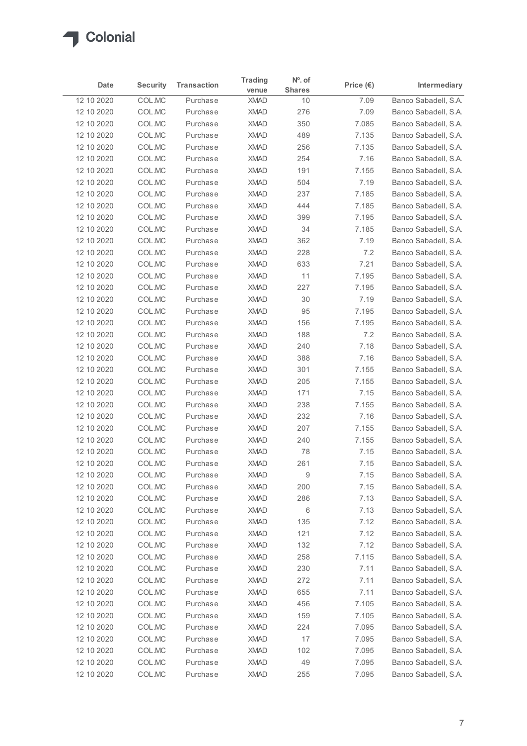

|                          |                  |                      | <b>Trading</b>             | $N^o$ . of    |                    |                                              |
|--------------------------|------------------|----------------------|----------------------------|---------------|--------------------|----------------------------------------------|
| Date                     | <b>Security</b>  | <b>Transaction</b>   | venue                      | <b>Shares</b> | Price $(\epsilon)$ | Intermediary                                 |
| 12 10 2020               | COL.MC           | Purchase             | <b>XMAD</b>                | 10            | 7.09               | Banco Sabadell, S.A.                         |
| 12 10 2020               | COL.MC<br>COL.MC | Purchase<br>Purchase | <b>XMAD</b><br><b>XMAD</b> | 276<br>350    | 7.09               | Banco Sabadell, S.A.<br>Banco Sabadell, S.A. |
| 12 10 2020<br>12 10 2020 | COL.MC           | Purchase             | <b>XMAD</b>                | 489           | 7.085<br>7.135     | Banco Sabadell, S.A.                         |
| 12 10 2020               | COL.MC           | Purchase             | <b>XMAD</b>                | 256           | 7.135              | Banco Sabadell, S.A.                         |
| 12 10 2020               | COL.MC           | Purchase             | <b>XMAD</b>                | 254           | 7.16               | Banco Sabadell, S.A.                         |
| 12 10 2020               | COL.MC           | Purchase             | <b>XMAD</b>                | 191           | 7.155              | Banco Sabadell, S.A.                         |
| 12 10 2020               | COL.MC           | Purchase             | <b>XMAD</b>                | 504           | 7.19               | Banco Sabadell, S.A.                         |
| 12 10 2020               | COL.MC           | Purchase             | <b>XMAD</b>                | 237           | 7.185              | Banco Sabadell, S.A.                         |
| 12 10 2020               | COL.MC           | Purchase             | <b>XMAD</b>                | 444           | 7.185              | Banco Sabadell, S.A.                         |
| 12 10 2020               | COL.MC           | Purchase<br>Purchase | <b>XMAD</b><br><b>XMAD</b> | 399           | 7.195<br>7.185     | Banco Sabadell, S.A.                         |
| 12 10 2020<br>12 10 2020 | COL.MC<br>COL.MC | Purchase             | <b>XMAD</b>                | 34<br>362     | 7.19               | Banco Sabadell, S.A.<br>Banco Sabadell, S.A. |
| 12 10 2020               | COL.MC           | Purchase             | <b>XMAD</b>                | 228           | 7.2                | Banco Sabadell, S.A.                         |
| 12 10 2020               | COL.MC           | Purchase             | XMAD                       | 633           | 7.21               | Banco Sabadell, S.A.                         |
| 12 10 2020               | COL.MC           | Purchase             | <b>XMAD</b>                | 11            | 7.195              | Banco Sabadell, S.A.                         |
| 12 10 2020               | COL.MC           | Purchase             | <b>XMAD</b>                | 227           | 7.195              | Banco Sabadell, S.A.                         |
| 12 10 2020               | COL.MC           | Purchase             | <b>XMAD</b>                | 30            | 7.19               | Banco Sabadell, S.A.                         |
| 12 10 2020               | COL.MC           | Purchase             | <b>XMAD</b>                | 95            | 7.195              | Banco Sabadell, S.A.                         |
| 12 10 2020               | COL.MC           | Purchase             | <b>XMAD</b>                | 156           | 7.195              | Banco Sabadell, S.A.                         |
| 12 10 2020               | COL.MC           | Purchase             | <b>XMAD</b>                | 188           | 7.2                | Banco Sabadell, S.A.                         |
| 12 10 2020               | COL.MC           | Purchase             | <b>XMAD</b>                | 240           | 7.18               | Banco Sabadell, S.A.                         |
| 12 10 2020<br>12 10 2020 | COL.MC<br>COL.MC | Purchase<br>Purchase | <b>XMAD</b><br><b>XMAD</b> | 388<br>301    | 7.16<br>7.155      | Banco Sabadell, S.A.<br>Banco Sabadell, S.A. |
| 12 10 2020               | COL.MC           | Purchase             | <b>XMAD</b>                | 205           | 7.155              | Banco Sabadell, S.A.                         |
| 12 10 2020               | COL.MC           | Purchase             | <b>XMAD</b>                | 171           | 7.15               | Banco Sabadell, S.A.                         |
| 12 10 2020               | COL.MC           | Purchase             | <b>XMAD</b>                | 238           | 7.155              | Banco Sabadell, S.A.                         |
| 12 10 2020               | COL.MC           | Purchase             | <b>XMAD</b>                | 232           | 7.16               | Banco Sabadell, S.A.                         |
| 12 10 2020               | COL.MC           | Purchase             | <b>XMAD</b>                | 207           | 7.155              | Banco Sabadell, S.A.                         |
| 12 10 2020               | COL.MC           | Purchase             | <b>XMAD</b>                | 240           | 7.155              | Banco Sabadell, S.A.                         |
| 12 10 2020               | COL.MC           | Purchase             | <b>XMAD</b>                | 78            | 7.15               | Banco Sabadell, S.A.                         |
| 12 10 2020               | COL.MC           | Purchase             | <b>XMAD</b>                | 261           | 7.15               | Banco Sabadell, S.A.                         |
| 12 10 2020               | COL.MC           | Purchase             | <b>XMAD</b>                | 9             | 7.15               | Banco Sabadell, S.A.                         |
| 12 10 2020<br>12 10 2020 | COL.MC<br>COL.MC | Purchase<br>Purchase | <b>XMAD</b><br><b>XMAD</b> | 200<br>286    | 7.15<br>7.13       | Banco Sabadell, S.A.<br>Banco Sabadell, S.A. |
| 12 10 2020               | COL.MC           | Purchase             | <b>XMAD</b>                | 6             | 7.13               | Banco Sabadell, S.A.                         |
| 12 10 2020               | COL.MC           | Purchase             | <b>XMAD</b>                | 135           | 7.12               | Banco Sabadell, S.A.                         |
| 12 10 2020               | COL.MC           | Purchase             | <b>XMAD</b>                | 121           | 7.12               | Banco Sabadell, S.A.                         |
| 12 10 2020               | COL.MC           | Purchase             | <b>XMAD</b>                | 132           | 7.12               | Banco Sabadell, S.A.                         |
| 12 10 2020               | COL.MC           | Purchase             | <b>XMAD</b>                | 258           | 7.115              | Banco Sabadell, S.A.                         |
| 12 10 2020               | COL.MC           | Purchase             | <b>XMAD</b>                | 230           | 7.11               | Banco Sabadell, S.A.                         |
| 12 10 2020               | COL.MC           | Purchase             | <b>XMAD</b>                | 272           | 7.11               | Banco Sabadell, S.A.                         |
| 12 10 2020               | COL.MC           | Purchase             | <b>XMAD</b>                | 655           | 7.11               | Banco Sabadell, S.A.                         |
| 12 10 2020               | COL.MC           | Purchase             | <b>XMAD</b>                | 456           | 7.105              | Banco Sabadell, S.A.                         |
| 12 10 2020               | COL.MC<br>COL.MC | Purchase<br>Purchase | <b>XMAD</b><br><b>XMAD</b> | 159<br>224    | 7.105<br>7.095     | Banco Sabadell, S.A.<br>Banco Sabadell, S.A. |
| 12 10 2020<br>12 10 2020 | COL.MC           | Purchase             | <b>XMAD</b>                | 17            | 7.095              | Banco Sabadell, S.A.                         |
| 12 10 2020               | COL.MC           | Purchase             | XMAD                       | 102           | 7.095              | Banco Sabadell, S.A.                         |
|                          | COL.MC           | Purchase             | XMAD                       | 49            | 7.095              | Banco Sabadell, S.A.                         |
| 12 10 2020               |                  |                      |                            |               |                    |                                              |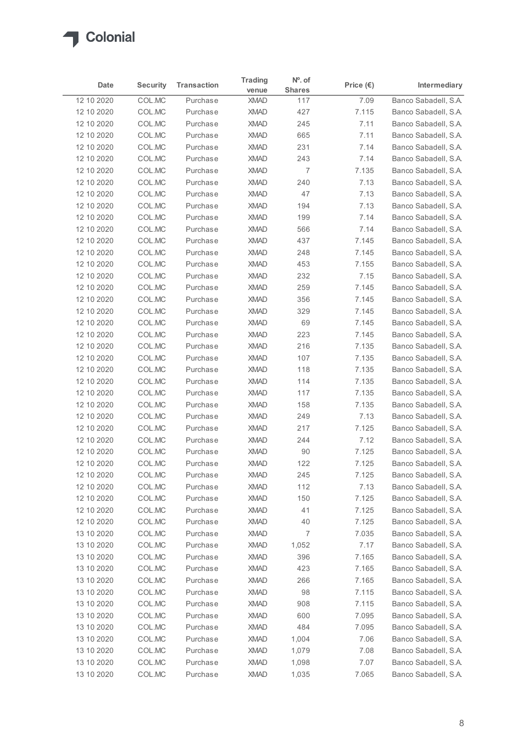

|                          |                  |                      | <b>Trading</b>             | $N^o$ . of    |                    |                                              |
|--------------------------|------------------|----------------------|----------------------------|---------------|--------------------|----------------------------------------------|
| Date                     | <b>Security</b>  | <b>Transaction</b>   | venue                      | <b>Shares</b> | Price $(\epsilon)$ | Intermediary                                 |
| 12 10 2020               | COL.MC           | Purchase             | <b>XMAD</b>                | 117           | 7.09               | Banco Sabadell, S.A.                         |
| 12 10 2020               | COL.MC           | Purchase             | <b>XMAD</b>                | 427           | 7.115              | Banco Sabadell, S.A.                         |
| 12 10 2020               | COL.MC           | Purchase             | <b>XMAD</b>                | 245           | 7.11               | Banco Sabadell, S.A.                         |
| 12 10 2020               | COL.MC           | Purchase             | <b>XMAD</b>                | 665           | 7.11               | Banco Sabadell, S.A.                         |
| 12 10 2020<br>12 10 2020 | COL.MC<br>COL.MC | Purchase<br>Purchase | <b>XMAD</b><br><b>XMAD</b> | 231<br>243    | 7.14<br>7.14       | Banco Sabadell, S.A.<br>Banco Sabadell, S.A. |
|                          | COL.MC           | Purchase             | <b>XMAD</b>                |               |                    |                                              |
| 12 10 2020<br>12 10 2020 | COL.MC           | Purchase             | <b>XMAD</b>                | 7<br>240      | 7.135<br>7.13      | Banco Sabadell, S.A.<br>Banco Sabadell, S.A. |
| 12 10 2020               | COL.MC           | Purchase             | <b>XMAD</b>                | 47            | 7.13               | Banco Sabadell, S.A.                         |
| 12 10 2020               | COL.MC           | Purchase             | <b>XMAD</b>                | 194           | 7.13               | Banco Sabadell, S.A.                         |
| 12 10 2020               | COL.MC           | Purchase             | <b>XMAD</b>                | 199           | 7.14               | Banco Sabadell, S.A.                         |
| 12 10 2020               | COL.MC           | Purchase             | <b>XMAD</b>                | 566           | 7.14               | Banco Sabadell, S.A.                         |
| 12 10 2020               | COL.MC           | Purchase             | <b>XMAD</b>                | 437           | 7.145              | Banco Sabadell, S.A.                         |
| 12 10 2020               | COL.MC           | Purchase             | <b>XMAD</b>                | 248           | 7.145              | Banco Sabadell, S.A.                         |
| 12 10 2020               | COL.MC           | Purchase             | XMAD                       | 453           | 7.155              | Banco Sabadell, S.A.                         |
| 12 10 2020               | COL.MC           | Purchase             | <b>XMAD</b>                | 232           | 7.15               | Banco Sabadell, S.A.                         |
| 12 10 2020               | COL.MC           | Purchase             | <b>XMAD</b>                | 259           | 7.145              | Banco Sabadell, S.A.                         |
| 12 10 2020               | COL.MC           | Purchase             | <b>XMAD</b>                | 356           | 7.145              | Banco Sabadell, S.A.                         |
| 12 10 2020               | COL.MC           | Purchase             | <b>XMAD</b>                | 329           | 7.145              | Banco Sabadell, S.A.                         |
| 12 10 2020               | COL.MC           | Purchase             | <b>XMAD</b>                | 69            | 7.145              | Banco Sabadell, S.A.                         |
| 12 10 2020               | COL.MC           | Purchase             | <b>XMAD</b>                | 223           | 7.145              | Banco Sabadell, S.A.                         |
| 12 10 2020               | COL.MC           | Purchase             | <b>XMAD</b>                | 216           | 7.135              | Banco Sabadell, S.A.                         |
| 12 10 2020               | COL.MC           | Purchase             | <b>XMAD</b>                | 107           | 7.135              | Banco Sabadell, S.A.                         |
| 12 10 2020               | COL.MC           | Purchase             | <b>XMAD</b>                | 118           | 7.135              | Banco Sabadell, S.A.                         |
| 12 10 2020               | COL.MC           | Purchase             | <b>XMAD</b>                | 114           | 7.135              | Banco Sabadell, S.A.                         |
| 12 10 2020               | COL.MC           | Purchase             | <b>XMAD</b>                | 117           | 7.135              | Banco Sabadell, S.A.                         |
| 12 10 2020               | COL.MC           | Purchase             | <b>XMAD</b>                | 158           | 7.135              | Banco Sabadell, S.A.                         |
| 12 10 2020               | COL.MC           | Purchase             | <b>XMAD</b>                | 249           | 7.13               | Banco Sabadell, S.A.                         |
| 12 10 2020               | COL.MC           | Purchase             | <b>XMAD</b>                | 217           | 7.125              | Banco Sabadell, S.A.                         |
| 12 10 2020               | COL.MC           | Purchase             | <b>XMAD</b>                | 244           | 7.12               | Banco Sabadell, S.A.                         |
| 12 10 2020               | COL.MC           | Purchase             | <b>XMAD</b>                | 90            | 7.125              | Banco Sabadell, S.A.                         |
| 12 10 2020               | COL.MC           | Purchase             | <b>XMAD</b>                | 122           | 7.125              | Banco Sabadell, S.A.                         |
| 12 10 2020               | COL.MC<br>COL.MC | Purchase<br>Purchase | <b>XMAD</b><br><b>XMAD</b> | 245<br>112    | 7.125<br>7.13      | Banco Sabadell, S.A.<br>Banco Sabadell, S.A. |
| 12 10 2020<br>12 10 2020 | COL.MC           | Purchase             | <b>XMAD</b>                | 150           | 7.125              | Banco Sabadell, S.A.                         |
| 12 10 2020               | COL.MC           | Purchase             | <b>XMAD</b>                | 41            | 7.125              | Banco Sabadell, S.A.                         |
| 12 10 2020               | COL.MC           | Purchase             | <b>XMAD</b>                | 40            | 7.125              | Banco Sabadell, S.A.                         |
| 13 10 2020               | COL.MC           | Purchase             | <b>XMAD</b>                | 7             | 7.035              | Banco Sabadell, S.A.                         |
| 13 10 2020               | COL.MC           | Purchase             | <b>XMAD</b>                | 1,052         | 7.17               | Banco Sabadell, S.A.                         |
| 13 10 2020               | COL.MC           | Purchase             | <b>XMAD</b>                | 396           | 7.165              | Banco Sabadell, S.A.                         |
| 13 10 2020               | COL.MC           | Purchase             | <b>XMAD</b>                | 423           | 7.165              | Banco Sabadell, S.A.                         |
| 13 10 2020               | COL.MC           | Purchase             | <b>XMAD</b>                | 266           | 7.165              | Banco Sabadell, S.A.                         |
| 13 10 2020               | COL.MC           | Purchase             | <b>XMAD</b>                | 98            | 7.115              | Banco Sabadell, S.A.                         |
| 13 10 2020               | COL.MC           | Purchase             | <b>XMAD</b>                | 908           | 7.115              | Banco Sabadell, S.A.                         |
| 13 10 2020               | COL.MC           | Purchase             | <b>XMAD</b>                | 600           | 7.095              | Banco Sabadell, S.A.                         |
| 13 10 2020               | COL.MC           | Purchase             | <b>XMAD</b>                | 484           | 7.095              | Banco Sabadell, S.A.                         |
| 13 10 2020               | COL.MC           | Purchase             | <b>XMAD</b>                | 1,004         | 7.06               | Banco Sabadell, S.A.                         |
| 13 10 2020               | COL.MC           | Purchase             | XMAD                       | 1,079         | 7.08               | Banco Sabadell, S.A.                         |
|                          | COL.MC           | Purchase             | XMAD                       | 1,098         | 7.07               | Banco Sabadell, S.A.                         |
| 13 10 2020               |                  |                      |                            |               |                    |                                              |